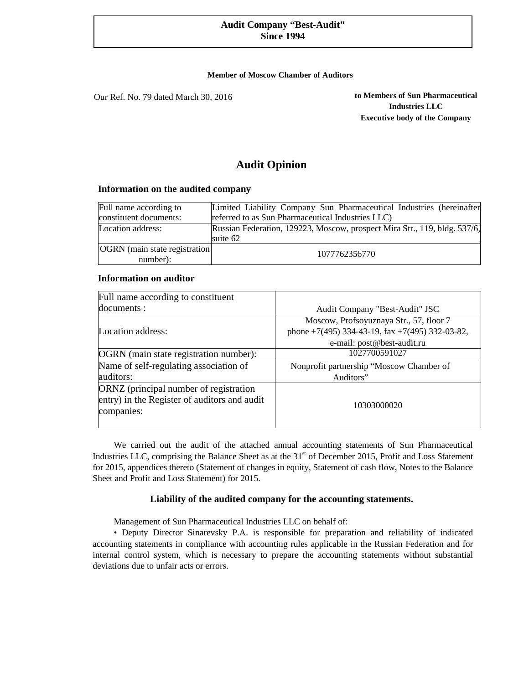# **Audit Company "Best-Audit" Since 1994**

#### **Member of Moscow Chamber of Auditors**

Our Ref. No. 79 dated March 30, 2016

**to Members of Sun Pharmaceutical Industries LLC Executive body of the Company** 

# **Audit Opinion**

#### **Information on the audited company**

| Full name according to                           | Limited Liability Company Sun Pharmaceutical Industries (hereinafter                  |
|--------------------------------------------------|---------------------------------------------------------------------------------------|
| constituent documents:                           | referred to as Sun Pharmaceutical Industries LLC)                                     |
| Location address:                                | Russian Federation, 129223, Moscow, prospect Mira Str., 119, bldg. 537/6,<br>suite 62 |
| <b>OGRN</b> (main state registration<br>number): | 1077762356770                                                                         |

# **Information on auditor**

| Full name according to constituent           |                                                 |
|----------------------------------------------|-------------------------------------------------|
| documents :                                  | Audit Company "Best-Audit" JSC                  |
|                                              | Moscow, Profsoyuznaya Str., 57, floor 7         |
| Location address:                            | phone +7(495) 334-43-19, fax +7(495) 332-03-82, |
|                                              | e-mail: post@best-audit.ru                      |
| OGRN (main state registration number):       | 1027700591027                                   |
| Name of self-regulating association of       | Nonprofit partnership "Moscow Chamber of        |
| auditors:                                    | Auditors"                                       |
| ORNZ (principal number of registration       |                                                 |
| entry) in the Register of auditors and audit | 10303000020                                     |
| companies:                                   |                                                 |
|                                              |                                                 |

We carried out the audit of the attached annual accounting statements of Sun Pharmaceutical Industries LLC, comprising the Balance Sheet as at the 31<sup>st</sup> of December 2015, Profit and Loss Statement for 2015, appendices thereto (Statement of changes in equity, Statement of cash flow, Notes to the Balance Sheet and Profit and Loss Statement) for 2015.

# **Liability of the audited company for the accounting statements.**

Management of Sun Pharmaceutical Industries LLC on behalf of:

• Deputy Director Sinarevsky P.A. is responsible for preparation and reliability of indicated accounting statements in compliance with accounting rules applicable in the Russian Federation and for internal control system, which is necessary to prepare the accounting statements without substantial deviations due to unfair acts or errors.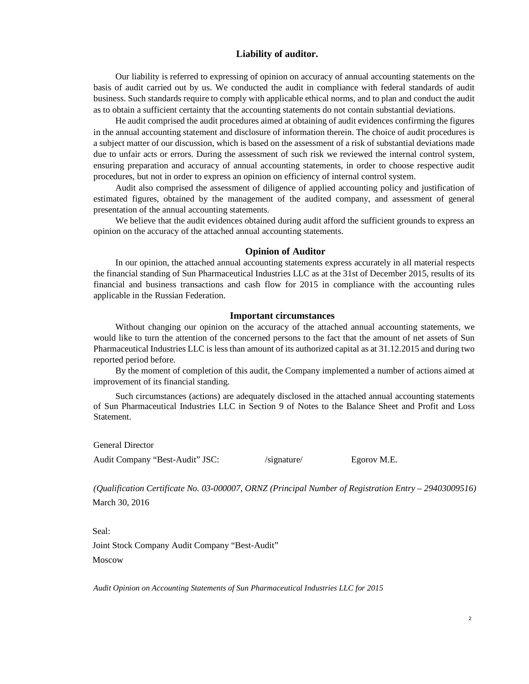## **Liability of auditor.**

Our liability is referred to expressing of opinion on accuracy of annual accounting statements on the basis of audit carried out by us. We conducted the audit in compliance with federal standards of audit business. Such standards require to comply with applicable ethical norms, and to plan and conduct the audit as to obtain a sufficient certainty that the accounting statements do not contain substantial deviations.

He audit comprised the audit procedures aimed at obtaining of audit evidences confirming the figures in the annual accounting statement and disclosure of information therein. The choice of audit procedures is a subject matter of our discussion, which is based on the assessment of a risk of substantial deviations made due to unfair acts or errors. During the assessment of such risk we reviewed the internal control system, ensuring preparation and accuracy of annual accounting statements, in order to choose respective audit procedures, but not in order to express an opinion on efficiency of internal control system.

Audit also comprised the assessment of diligence of applied accounting policy and justification of estimated figures, obtained by the management of the audited company, and assessment of general presentation of the annual accounting statements.

We believe that the audit evidences obtained during audit afford the sufficient grounds to express an opinion on the accuracy of the attached annual accounting statements.

#### **Opinion of Auditor**

In our opinion, the attached annual accounting statements express accurately in all material respects the financial standing of Sun Pharmaceutical Industries LLC as at the 31st of December 2015, results of its financial and business transactions and cash flow for 2015 in compliance with the accounting rules applicable in the Russian Federation.

#### **Important circumstances**

Without changing our opinion on the accuracy of the attached annual accounting statements, we would like to turn the attention of the concerned persons to the fact that the amount of net assets of Sun Pharmaceutical Industries LLC is less than amount of its authorized capital as at 31.12.2015 and during two reported period before.

By the moment of completion of this audit, the Company implemented a number of actions aimed at improvement of its financial standing.

Such circumstances (actions) are adequately disclosed in the attached annual accounting statements of Sun Pharmaceutical Industries LLC in Section 9 of Notes to the Balance Sheet and Profit and Loss Statement.

General Director

Audit Company "Best-Audit" JSC: //signature/ Egorov M.E.

*(Qualification Certificate No. 03-000007, ORNZ (Principal Number of Registration Entry – 29403009516)*  March 30, 2016

Seal: Joint Stock Company Audit Company "Best-Audit" Moscow

*Audit Opinion on Accounting Statements of Sun Pharmaceutical Industries LLC for 2015*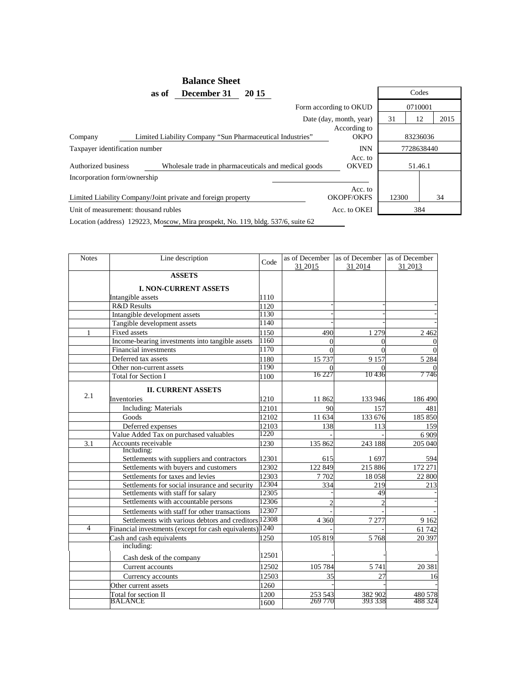|                                                              | <b>Balance Sheet</b>                                      |                              |       |            |
|--------------------------------------------------------------|-----------------------------------------------------------|------------------------------|-------|------------|
| as of                                                        | December 31<br>20 15                                      |                              |       | Codes      |
|                                                              |                                                           | Form according to OKUD       |       | 0710001    |
|                                                              |                                                           | Date (day, month, year)      | 31    | 2015<br>12 |
| Company                                                      | Limited Liability Company "Sun Pharmaceutical Industries" | According to<br><b>OKPO</b>  |       | 83236036   |
| Taxpayer identification number                               |                                                           | <b>INN</b>                   |       | 7728638440 |
| Authorized business                                          | Wholesale trade in pharmaceuticals and medical goods      | Acc. to<br><b>OKVED</b>      |       | 51.46.1    |
| Incorporation form/ownership                                 |                                                           |                              |       |            |
| Limited Liability Company/Joint private and foreign property |                                                           | Acc. to<br><b>OKOPF/OKFS</b> | 12300 | 34         |
| Unit of measurement: thousand rubles                         |                                                           | Acc. to OKEI                 |       | 384        |

Location (address) 129223, Moscow, Mira prospekt, No. 119, bldg. 537/6, suite 62

| <b>Notes</b>   | Line description                                         | Code          | as of December     | as of December     | as of December     |
|----------------|----------------------------------------------------------|---------------|--------------------|--------------------|--------------------|
|                |                                                          |               | 31 2015            | 31 2014            | 31 2013            |
|                | <b>ASSETS</b>                                            |               |                    |                    |                    |
|                | <b>I. NON-CURRENT ASSETS</b>                             |               |                    |                    |                    |
|                | Intangible assets                                        | 1110          |                    |                    |                    |
|                | R&D Results                                              | 1120          |                    |                    |                    |
|                | Intangible development assets                            | 1130          |                    |                    |                    |
|                | Tangible development assets                              | 1140          |                    |                    |                    |
| 1              | Fixed assets                                             | 1150          | 490                | 1 2 7 9            | 2 4 6 2            |
|                | Income-bearing investments into tangible assets          | 1160          | 0                  | $\Omega$           |                    |
|                | Financial investments                                    | 1170          | 0                  | $\Omega$           |                    |
|                | Deferred tax assets                                      | 1180          | 15 7 37            | 9 1 5 7            | 5 2 8 4            |
|                | Other non-current assets                                 | 1190          | 0                  | $\Omega$           |                    |
|                | <b>Total for Section I</b>                               | 1100          | 16 227             | 10436              | 7 746              |
|                | <b>II. CURRENT ASSETS</b>                                |               |                    |                    |                    |
| 2.1            |                                                          |               |                    |                    |                    |
|                | Inventories                                              | 1210          | 11862              | 133 946            | 186 490            |
|                | <b>Including: Materials</b>                              | 12101         | 90                 | 157                | 481                |
|                | Goods                                                    | 12102         | 11 634             | 133 676            | 185 850            |
|                | Deferred expenses                                        | 12103<br>1220 | 138                | 113                | 159                |
|                | Value Added Tax on purchased valuables                   |               |                    |                    | 6 9 0 9            |
| 3.1            | Accounts receivable<br>Including:                        | 1230          | 135 862            | 243 188            | 205 040            |
|                | Settlements with suppliers and contractors               | 12301         | 615                | 1697               | 594                |
|                | Settlements with buyers and customers                    | 12302         | 122 849            | 215 886            | 172 271            |
|                | Settlements for taxes and levies                         | 12303         | 7 7 0 2            | 18058              | 22 800             |
|                | Settlements for social insurance and security            | 12304         | 334                | 219                | 213                |
|                | Settlements with staff for salary                        | 12305         |                    | 49                 |                    |
|                | Settlements with accountable persons                     | 12306         |                    |                    |                    |
|                | Settlements with staff for other transactions            | 12307         |                    |                    |                    |
|                | Settlements with various debtors and creditors 12308     |               | 4 3 6 0            | 7 2 7 7            | 9 1 6 2            |
| $\overline{4}$ | Financial investments (except for cash equivalents) 1240 |               |                    |                    | 61 742             |
|                | Cash and cash equivalents                                | 1250          | 105 819            | 5 7 6 8            | 20 397             |
|                | including:                                               |               |                    |                    |                    |
|                | Cash desk of the company                                 | 12501         |                    |                    |                    |
|                | Current accounts                                         | 12502         | 105 784            | 5 7 4 1            | 20 381             |
|                | Currency accounts                                        | 12503         | 35                 | 27                 | 16                 |
|                |                                                          | 1260          |                    |                    |                    |
|                | Other current assets                                     |               |                    |                    |                    |
|                | Total for section II<br>BALANCE                          | 1200          | 253 543<br>269 770 | 382 902<br>393 338 | 480 578<br>488 324 |
|                |                                                          | 1600          |                    |                    |                    |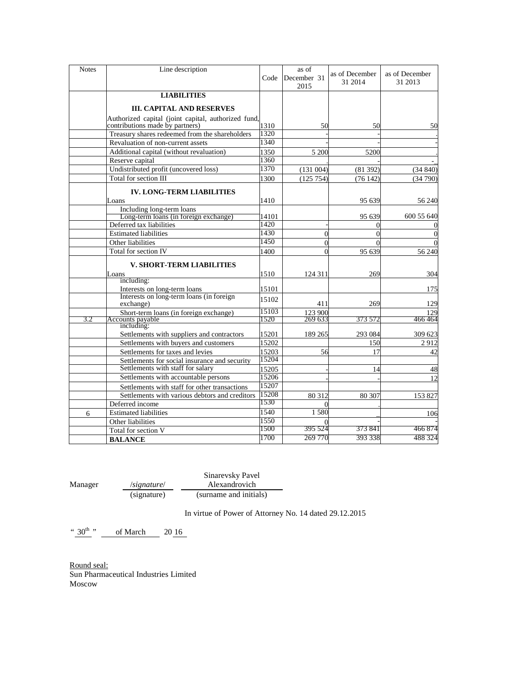| Line description                              | Code                                                                                                                                                                                                                                                                                                                                                                                                                                                                                                                                                                  | as of<br>December 31<br>2015                                                                                                                                            | as of December<br>31 2014 | as of December<br>31 2013                                                                                                                                                                    |
|-----------------------------------------------|-----------------------------------------------------------------------------------------------------------------------------------------------------------------------------------------------------------------------------------------------------------------------------------------------------------------------------------------------------------------------------------------------------------------------------------------------------------------------------------------------------------------------------------------------------------------------|-------------------------------------------------------------------------------------------------------------------------------------------------------------------------|---------------------------|----------------------------------------------------------------------------------------------------------------------------------------------------------------------------------------------|
| <b>LIABILITIES</b>                            |                                                                                                                                                                                                                                                                                                                                                                                                                                                                                                                                                                       |                                                                                                                                                                         |                           |                                                                                                                                                                                              |
| <b>III. CAPITAL AND RESERVES</b>              |                                                                                                                                                                                                                                                                                                                                                                                                                                                                                                                                                                       |                                                                                                                                                                         |                           |                                                                                                                                                                                              |
| contributions made by partners)               | 1310                                                                                                                                                                                                                                                                                                                                                                                                                                                                                                                                                                  |                                                                                                                                                                         | 50                        | 50                                                                                                                                                                                           |
|                                               |                                                                                                                                                                                                                                                                                                                                                                                                                                                                                                                                                                       |                                                                                                                                                                         |                           |                                                                                                                                                                                              |
|                                               |                                                                                                                                                                                                                                                                                                                                                                                                                                                                                                                                                                       |                                                                                                                                                                         |                           |                                                                                                                                                                                              |
|                                               |                                                                                                                                                                                                                                                                                                                                                                                                                                                                                                                                                                       |                                                                                                                                                                         | 5200                      |                                                                                                                                                                                              |
|                                               |                                                                                                                                                                                                                                                                                                                                                                                                                                                                                                                                                                       |                                                                                                                                                                         |                           |                                                                                                                                                                                              |
|                                               |                                                                                                                                                                                                                                                                                                                                                                                                                                                                                                                                                                       |                                                                                                                                                                         | (81392)                   | (34840)                                                                                                                                                                                      |
| Total for section III                         | 1300                                                                                                                                                                                                                                                                                                                                                                                                                                                                                                                                                                  |                                                                                                                                                                         | (76142)                   | (34790)                                                                                                                                                                                      |
| <b>IV. LONG-TERM LIABILITIES</b>              |                                                                                                                                                                                                                                                                                                                                                                                                                                                                                                                                                                       |                                                                                                                                                                         |                           |                                                                                                                                                                                              |
| Loans                                         | 1410                                                                                                                                                                                                                                                                                                                                                                                                                                                                                                                                                                  |                                                                                                                                                                         | 95 639                    | 56 240                                                                                                                                                                                       |
| Including long-term loans                     |                                                                                                                                                                                                                                                                                                                                                                                                                                                                                                                                                                       |                                                                                                                                                                         |                           |                                                                                                                                                                                              |
|                                               |                                                                                                                                                                                                                                                                                                                                                                                                                                                                                                                                                                       |                                                                                                                                                                         |                           | 600 55 640                                                                                                                                                                                   |
|                                               |                                                                                                                                                                                                                                                                                                                                                                                                                                                                                                                                                                       |                                                                                                                                                                         | $\theta$                  |                                                                                                                                                                                              |
|                                               |                                                                                                                                                                                                                                                                                                                                                                                                                                                                                                                                                                       |                                                                                                                                                                         | $\Omega$                  | $\Omega$                                                                                                                                                                                     |
|                                               |                                                                                                                                                                                                                                                                                                                                                                                                                                                                                                                                                                       |                                                                                                                                                                         | $\Omega$                  |                                                                                                                                                                                              |
|                                               | 1400                                                                                                                                                                                                                                                                                                                                                                                                                                                                                                                                                                  |                                                                                                                                                                         | 95 639                    | 56 240                                                                                                                                                                                       |
| <b>V. SHORT-TERM LIABILITIES</b>              |                                                                                                                                                                                                                                                                                                                                                                                                                                                                                                                                                                       |                                                                                                                                                                         |                           |                                                                                                                                                                                              |
| Loans                                         | 1510                                                                                                                                                                                                                                                                                                                                                                                                                                                                                                                                                                  | 124 311                                                                                                                                                                 | 269                       | 304                                                                                                                                                                                          |
|                                               |                                                                                                                                                                                                                                                                                                                                                                                                                                                                                                                                                                       |                                                                                                                                                                         |                           |                                                                                                                                                                                              |
|                                               |                                                                                                                                                                                                                                                                                                                                                                                                                                                                                                                                                                       |                                                                                                                                                                         |                           | 175                                                                                                                                                                                          |
| exchange)                                     | 15102                                                                                                                                                                                                                                                                                                                                                                                                                                                                                                                                                                 | 411                                                                                                                                                                     | 269                       | 129                                                                                                                                                                                          |
|                                               |                                                                                                                                                                                                                                                                                                                                                                                                                                                                                                                                                                       |                                                                                                                                                                         |                           | 129                                                                                                                                                                                          |
|                                               |                                                                                                                                                                                                                                                                                                                                                                                                                                                                                                                                                                       |                                                                                                                                                                         |                           | 466 464                                                                                                                                                                                      |
| Settlements with suppliers and contractors    | 15201                                                                                                                                                                                                                                                                                                                                                                                                                                                                                                                                                                 |                                                                                                                                                                         | 293 084                   | 309 623                                                                                                                                                                                      |
| Settlements with buvers and customers         | 15202                                                                                                                                                                                                                                                                                                                                                                                                                                                                                                                                                                 |                                                                                                                                                                         | 150                       | 2912                                                                                                                                                                                         |
| Settlements for taxes and levies              | 15203                                                                                                                                                                                                                                                                                                                                                                                                                                                                                                                                                                 |                                                                                                                                                                         | 17                        | 42                                                                                                                                                                                           |
| Settlements for social insurance and security | 15204                                                                                                                                                                                                                                                                                                                                                                                                                                                                                                                                                                 |                                                                                                                                                                         |                           |                                                                                                                                                                                              |
| Settlements with staff for salary             |                                                                                                                                                                                                                                                                                                                                                                                                                                                                                                                                                                       |                                                                                                                                                                         | 14                        | 48                                                                                                                                                                                           |
| Settlements with accountable persons          | 15206                                                                                                                                                                                                                                                                                                                                                                                                                                                                                                                                                                 |                                                                                                                                                                         |                           | 12                                                                                                                                                                                           |
| Settlements with staff for other transactions | 15207                                                                                                                                                                                                                                                                                                                                                                                                                                                                                                                                                                 |                                                                                                                                                                         |                           |                                                                                                                                                                                              |
|                                               | 15208                                                                                                                                                                                                                                                                                                                                                                                                                                                                                                                                                                 |                                                                                                                                                                         |                           | 153827                                                                                                                                                                                       |
| Deferred income                               |                                                                                                                                                                                                                                                                                                                                                                                                                                                                                                                                                                       |                                                                                                                                                                         |                           |                                                                                                                                                                                              |
| <b>Estimated liabilities</b>                  | 1540                                                                                                                                                                                                                                                                                                                                                                                                                                                                                                                                                                  |                                                                                                                                                                         |                           | 106                                                                                                                                                                                          |
| Other liabilities                             | 1550                                                                                                                                                                                                                                                                                                                                                                                                                                                                                                                                                                  |                                                                                                                                                                         |                           |                                                                                                                                                                                              |
| Total for section V                           | 1500                                                                                                                                                                                                                                                                                                                                                                                                                                                                                                                                                                  |                                                                                                                                                                         | 373 841                   | 466 874                                                                                                                                                                                      |
| <b>BALANCE</b>                                | 1700                                                                                                                                                                                                                                                                                                                                                                                                                                                                                                                                                                  |                                                                                                                                                                         | 393 338                   | 488 324                                                                                                                                                                                      |
|                                               | Treasury shares redeemed from the shareholders<br>Revaluation of non-current assets<br>Additional capital (without revaluation)<br>Reserve capital<br>Undistributed profit (uncovered loss)<br>Long-term loans (in foreign exchange)<br>Deferred tax liabilities<br><b>Estimated liabilities</b><br>Other liabilities<br>Total for section IV<br>including:<br>Interests on long-term loans<br>Interests on long-term loans (in foreign<br>Short-term loans (in foreign exchange)<br>Accounts payable<br>including:<br>Settlements with various debtors and creditors | Authorized capital (joint capital, authorized fund,<br>1320<br>1340<br>1350<br>1360<br>1370<br>14101<br>1420<br>1430<br>1450<br>15101<br>15103<br>1520<br>15205<br>1530 |                           | 50<br>5 200<br>(131004)<br>(125 754)<br>95 639<br>$\theta$<br>$\overline{0}$<br>$\theta$<br>123 900<br>269 633<br>373 572<br>189 265<br>56<br>80 312<br>80 307<br>1580<br>395 524<br>269 770 |

Manager /*signature*/ Sinarevsky Pavel Alexandrovich (signature) (surname and initials)

In virtue of Power of Attorney No. 14 dated 29.12.2015

"  $30^{th}$ " of March 20 16

Round seal: Sun Pharmaceutical Industries Limited Moscow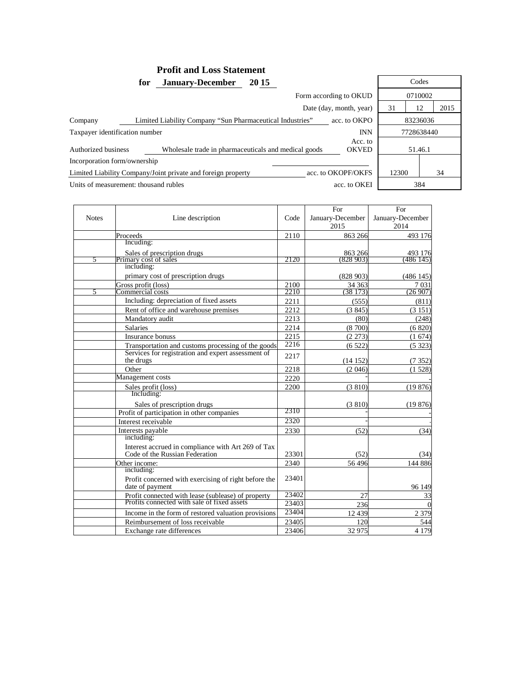# **Profit and Loss Statement<br>January-December 2015** for January-December 2015 Codes

| Form according to OKUD                                       |                                                           |              |                         |            | 0710002  |      |  |
|--------------------------------------------------------------|-----------------------------------------------------------|--------------|-------------------------|------------|----------|------|--|
|                                                              |                                                           |              | Date (day, month, year) | 31         | 12       | 2015 |  |
| Company                                                      | Limited Liability Company "Sun Pharmaceutical Industries" | acc. to OKPO |                         |            | 83236036 |      |  |
| <b>INN</b><br>Taxpayer identification number                 |                                                           |              |                         | 7728638440 |          |      |  |
| Authorized business                                          | Wholesale trade in pharmaceuticals and medical goods      |              | Acc. to<br><b>OKVED</b> |            | 51.46.1  |      |  |
| Incorporation form/ownership                                 |                                                           |              |                         |            |          |      |  |
| Limited Liability Company/Joint private and foreign property |                                                           |              | acc. to OKOPF/OKFS      | 12300      |          | 34   |  |
| Units of measurement: thousand rubles                        |                                                           | acc. to OKEI |                         |            | 384      |      |  |

|              |                                                      |       | For              | For              |
|--------------|------------------------------------------------------|-------|------------------|------------------|
| <b>Notes</b> | Line description                                     | Code  | January-December | January-December |
|              |                                                      |       | 2015             | 2014             |
|              | Proceeds                                             | 2110  | 863 266          | 493 176          |
|              | Incuding:                                            |       |                  |                  |
|              | Sales of prescription drugs                          |       | 863 266          | 493 176          |
| 5            | Primary cost of sales                                | 2120  | (828903)         | (486 145)        |
|              | including:                                           |       |                  |                  |
|              | primary cost of prescription drugs                   |       | (828903)         | (486145)         |
|              | Gross profit (loss)                                  | 2100  | 34 363           | 7 0 3 1          |
| 5            | Commercial costs                                     | 2210  | (38173)          | (26907)          |
|              | Including: depreciation of fixed assets              | 2211  | (555)            | (811)            |
|              | Rent of office and warehouse premises                | 2212  | (3845)           | (3 151)          |
|              | Mandatory audit                                      | 2213  | (80)             | (248)            |
|              | <b>Salaries</b>                                      | 2214  | (8700)           | (6 820)          |
|              | Insurance bonuss                                     | 2215  | (2 273)          | (1674)           |
|              | Transportation and customs processing of the goods   | 2216  | (6522)           | (5323)           |
|              | Services for registration and expert assessment of   | 2217  |                  |                  |
|              | the drugs                                            |       | (14152)          | (7352)           |
|              | Other                                                | 2218  | (2.046)          | (1528)           |
|              | Management costs                                     | 2220  |                  |                  |
|              | Sales profit (loss)                                  | 2200  | (3 810)          | (19876)          |
|              | Including:                                           |       |                  |                  |
|              | Sales of prescription drugs                          |       | (3 810)          | (19876)          |
|              | Profit of participation in other companies           | 2310  |                  |                  |
|              | Interest receivable                                  | 2320  |                  |                  |
|              | Interests payable                                    | 2330  | (52)             | (34)             |
|              | including:                                           |       |                  |                  |
|              | Interest accrued in compliance with Art 269 of Tax   |       |                  |                  |
|              | Code of the Russian Federation                       | 23301 | (52)             | (34)             |
|              | Other income:                                        | 2340  | 56496            | 144 886          |
|              | including:                                           |       |                  |                  |
|              | Profit concerned with exercising of right before the | 23401 |                  |                  |
|              | date of payment                                      |       |                  | 96 149           |
|              | Profit connected with lease (sublease) of property   | 23402 | 27               | 33               |
|              | Profits connected with sale of fixed assets          | 23403 | 236              | $\Omega$         |
|              | Income in the form of restored valuation provisions  | 23404 | 12 4 39          | 2 3 7 9          |
|              | Reimbursement of loss receivable                     | 23405 | 120              | 544              |
|              | Exchange rate differences                            | 23406 | 32975            | 4 1 7 9          |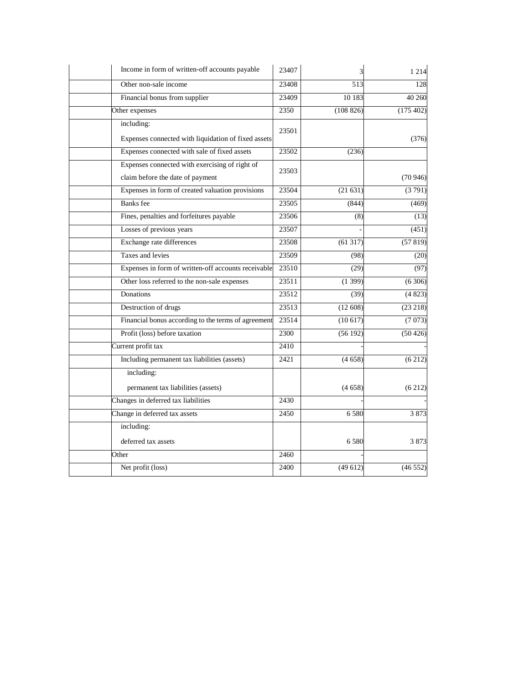| Income in form of written-off accounts payable      | 23407 | 3         | 1 2 1 4  |
|-----------------------------------------------------|-------|-----------|----------|
| Other non-sale income                               | 23408 | 513       | 128      |
| Financial bonus from supplier                       | 23409 | 10 183    | 40 260   |
| Other expenses                                      | 2350  | (108 826) | (175402) |
| including:                                          |       |           |          |
| Expenses connected with liquidation of fixed assets | 23501 |           | (376)    |
| Expenses connected with sale of fixed assets        | 23502 | (236)     |          |
| Expenses connected with exercising of right of      | 23503 |           |          |
| claim before the date of payment                    |       |           | (70946)  |
| Expenses in form of created valuation provisions    | 23504 | (21631)   | (3791)   |
| <b>Banks</b> fee                                    | 23505 | (844)     | (469)    |
| Fines, penalties and forfeitures payable            | 23506 | (8)       | (13)     |
| Losses of previous years                            | 23507 |           | (451)    |
| Exchange rate differences                           | 23508 | (61317)   | (57819)  |
| Taxes and levies                                    | 23509 | (98)      | (20)     |
| Expenses in form of written-off accounts receivable | 23510 | (29)      | (97)     |
| Other loss referred to the non-sale expenses        | 23511 | (1399)    | (6306)   |
| Donations                                           | 23512 | (39)      | (4823)   |
| Destruction of drugs                                | 23513 | (12608)   | (23 218) |
| Financial bonus according to the terms of agreement | 23514 | (10617)   | (7073)   |
| Profit (loss) before taxation                       | 2300  | (56192)   | (50 426) |
| Current profit tax                                  | 2410  |           |          |
| Including permanent tax liabilities (assets)        | 2421  | (4658)    | (6212)   |
| including:                                          |       |           |          |
| permanent tax liabilities (assets)                  |       | (4658)    | (6212)   |
| Changes in deferred tax liabilities                 | 2430  |           |          |
| Change in deferred tax assets                       | 2450  | 6580      | 3873     |
| including:                                          |       |           |          |
| deferred tax assets                                 |       | 6580      | 3873     |
| Other                                               | 2460  |           |          |
| Net profit (loss)                                   | 2400  | (49612)   | (46552)  |
|                                                     |       |           |          |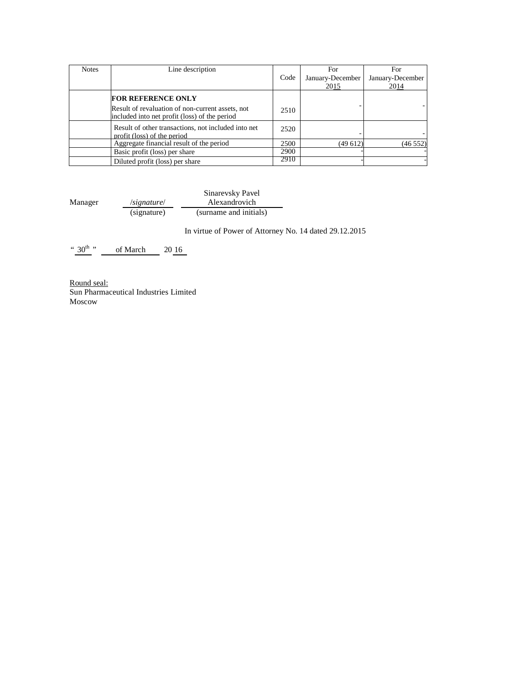| <b>Notes</b> | Line description                                                                                                               | Code | For<br>January-December<br>2015 | For<br>January-December<br>2014 |
|--------------|--------------------------------------------------------------------------------------------------------------------------------|------|---------------------------------|---------------------------------|
|              | <b>FOR REFERENCE ONLY</b><br>Result of revaluation of non-current assets, not<br>included into net profit (loss) of the period | 2510 |                                 |                                 |
|              | Result of other transactions, not included into net<br>profit (loss) of the period                                             | 2520 |                                 |                                 |
|              | Aggregate financial result of the period                                                                                       | 2500 | (49612)                         | (46552)                         |
|              | Basic profit (loss) per share                                                                                                  | 2900 |                                 |                                 |
|              | Diluted profit (loss) per share                                                                                                | 2910 |                                 |                                 |

Manager /*signature*/ Sinarevsky Pavel Alexandrovich (signature) (surname and initials)

In virtue of Power of Attorney No. 14 dated 29.12.2015

" $30^{th}$ " of March 20 16

Round seal: Sun Pharmaceutical Industries Limited Moscow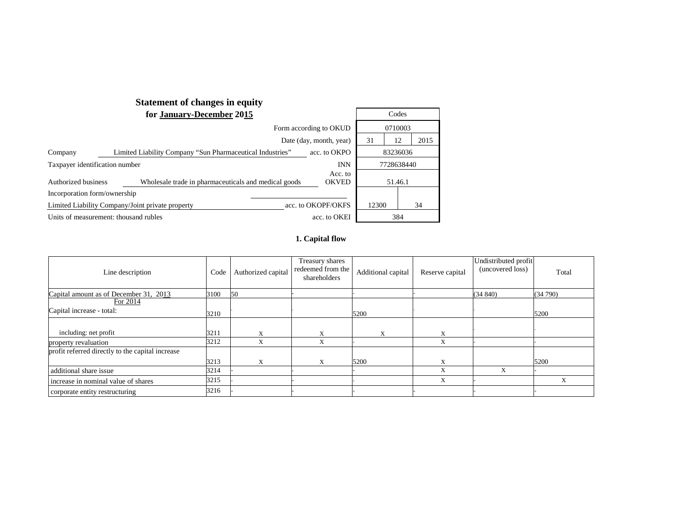|                                       | <b>Statement of changes in equity</b>                     |                         |       |            |      |
|---------------------------------------|-----------------------------------------------------------|-------------------------|-------|------------|------|
|                                       | Codes                                                     |                         |       |            |      |
|                                       | 0710003                                                   |                         |       |            |      |
| Date (day, month, year)               |                                                           |                         |       |            | 2015 |
| Company                               | Limited Liability Company "Sun Pharmaceutical Industries" | acc. to OKPO            |       |            |      |
| Taxpayer identification number        |                                                           | <b>INN</b>              |       | 7728638440 |      |
| Authorized business                   | Wholesale trade in pharmaceuticals and medical goods      | Acc. to<br><b>OKVED</b> |       | 51.46.1    |      |
| Incorporation form/ownership          |                                                           |                         |       |            |      |
|                                       | Limited Liability Company/Joint private property          | acc. to OKOPF/OKFS      | 12300 |            | 34   |
| Units of measurement: thousand rubles |                                                           | acc. to OKEI            |       | 384        |      |

#### **1. Capital flow**

| Line description                                 | Code | Authorized capital | Treasury shares<br>redeemed from the<br>shareholders | Additional capital | Reserve capital | Undistributed profit<br>(uncovered loss) | Total   |
|--------------------------------------------------|------|--------------------|------------------------------------------------------|--------------------|-----------------|------------------------------------------|---------|
| Capital amount as of December 31, 2013           | 3100 | 50                 |                                                      |                    |                 | (34840)                                  | (34790) |
| For 2014                                         |      |                    |                                                      |                    |                 |                                          |         |
| Capital increase - total:                        | 3210 |                    |                                                      | 5200               |                 |                                          | 5200    |
|                                                  |      |                    |                                                      |                    |                 |                                          |         |
| including: net profit                            | 3211 | X                  | X                                                    | X                  | X               |                                          |         |
| property revaluation                             | 3212 | X                  | X                                                    |                    | X               |                                          |         |
| profit referred directly to the capital increase |      |                    |                                                      |                    |                 |                                          |         |
|                                                  | 3213 | X                  | X                                                    | 5200               | X               |                                          | 5200    |
| additional share issue                           | 3214 |                    |                                                      |                    | X               | X                                        |         |
| increase in nominal value of shares              | 3215 |                    |                                                      |                    | X               |                                          | X       |
| corporate entity restructuring                   | 3216 |                    |                                                      |                    |                 |                                          |         |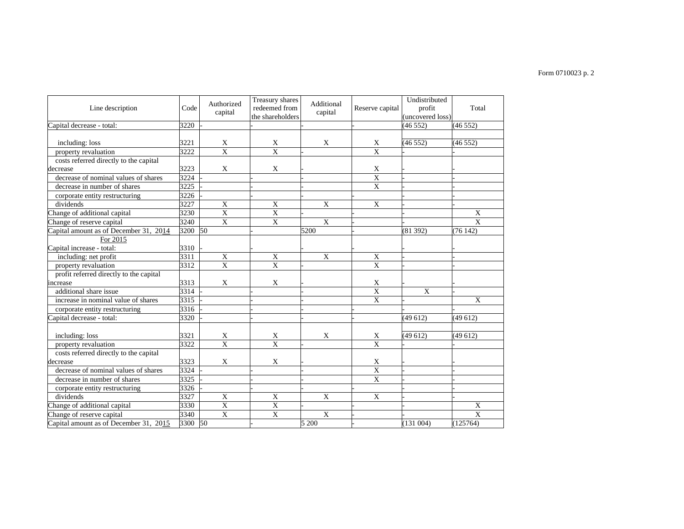# Form 0710023 p. 2

| Line description                        | Code    | Authorized              | Treasury shares<br>redeemed from | Additional         | Reserve capital         | Undistributed<br>profit | Total                   |
|-----------------------------------------|---------|-------------------------|----------------------------------|--------------------|-------------------------|-------------------------|-------------------------|
|                                         |         | capital                 | the shareholders                 | capital            |                         | (uncovered loss)        |                         |
| Capital decrease - total:               | 3220    |                         |                                  |                    |                         | (46552)                 | (46552)                 |
|                                         |         |                         |                                  |                    |                         |                         |                         |
| including: loss                         | 3221    | X                       | X                                | X                  | X                       | (46552)                 | (46552)                 |
| property revaluation                    | 3222    | $\overline{\mathbf{x}}$ | $\overline{\mathbf{x}}$          |                    | $\overline{\mathbf{x}}$ |                         |                         |
| costs referred directly to the capital  |         |                         |                                  |                    |                         |                         |                         |
| decrease                                | 3223    | X                       | X                                |                    | X                       |                         |                         |
| decrease of nominal values of shares    | 3224    |                         |                                  |                    | X                       |                         |                         |
| decrease in number of shares            | 3225    |                         |                                  |                    | X                       |                         |                         |
| corporate entity restructuring          | 3226    |                         |                                  |                    |                         |                         |                         |
| dividends                               | 3227    | X                       | X                                | $\mathbf{X}$       | $\mathbf{X}$            |                         |                         |
| Change of additional capital            | 3230    | X                       | $\mathbf X$                      |                    |                         |                         | X                       |
| Change of reserve capital               | 3240    | $\mathbf{X}$            | X                                | X                  |                         |                         | $\mathbf{X}$            |
| Capital amount as of December 31, 2014  | 3200 50 |                         |                                  | 5200               |                         | (81392)                 | (76142)                 |
| For 2015                                |         |                         |                                  |                    |                         |                         |                         |
| Capital increase - total:               | 3310    |                         |                                  |                    |                         |                         |                         |
| including: net profit                   | 3311    | X                       | X                                | X                  | X                       |                         |                         |
| property revaluation                    | 3312    | $\overline{\mathbf{X}}$ | $\overline{X}$                   |                    | $\mathbf X$             |                         |                         |
| profit referred directly to the capital |         |                         |                                  |                    |                         |                         |                         |
| increase                                | 3313    | X                       | X                                |                    | X                       |                         |                         |
| additional share issue                  | 3314    |                         |                                  |                    | X                       | X                       |                         |
| increase in nominal value of shares     | 3315    |                         |                                  |                    | $\mathbf X$             |                         | X                       |
| corporate entity restructuring          | 3316    |                         |                                  |                    |                         |                         |                         |
| Capital decrease - total:               | 3320    |                         |                                  |                    |                         | (49612)                 | (49612)                 |
|                                         |         |                         |                                  |                    |                         |                         |                         |
| including: loss                         | 3321    | X                       | X                                | X                  | X                       | (49612)                 | (49612)                 |
| property revaluation                    | 3322    | $\overline{\mathbf{X}}$ | $\overline{\mathbf{X}}$          |                    | $\overline{X}$          |                         |                         |
| costs referred directly to the capital  |         |                         |                                  |                    |                         |                         |                         |
| decrease                                | 3323    | X                       | X                                |                    | X                       |                         |                         |
| decrease of nominal values of shares    | 3324    |                         |                                  |                    | $\overline{X}$          |                         |                         |
| decrease in number of shares            | 3325    |                         |                                  |                    | $\mathbf X$             |                         |                         |
| corporate entity restructuring          | 3326    |                         |                                  |                    |                         |                         |                         |
| dividends                               | 3327    | X                       | X                                | $\overline{X}$     | X                       |                         |                         |
| Change of additional capital            | 3330    | $\overline{\mathbf{X}}$ | $\overline{X}$                   |                    |                         |                         | X                       |
| Change of reserve capital               | 3340    | X                       | X                                | X                  |                         |                         | $\overline{\mathbf{x}}$ |
| Capital amount as of December 31, 2015  | 3300 50 |                         |                                  | $\overline{5}$ 200 |                         | (131004)                | (125764)                |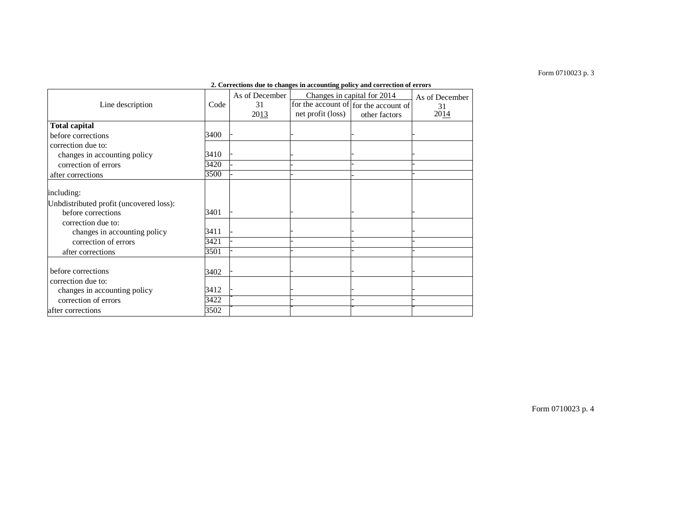#### Form 0710023 p. 3

|                                         | 2. Corrections due to changes in accounting policy and correction of errors |                |                   |                                       |                |  |  |  |  |
|-----------------------------------------|-----------------------------------------------------------------------------|----------------|-------------------|---------------------------------------|----------------|--|--|--|--|
|                                         |                                                                             | As of December |                   | Changes in capital for 2014           | As of December |  |  |  |  |
| Line description                        | Code                                                                        | 31             |                   | for the account of for the account of | 31             |  |  |  |  |
|                                         |                                                                             | 2013           | net profit (loss) | other factors                         | 2014           |  |  |  |  |
| <b>Total capital</b>                    |                                                                             |                |                   |                                       |                |  |  |  |  |
| before corrections                      | 3400                                                                        |                |                   |                                       |                |  |  |  |  |
| correction due to:                      |                                                                             |                |                   |                                       |                |  |  |  |  |
| changes in accounting policy            | 3410                                                                        |                |                   |                                       |                |  |  |  |  |
| correction of errors                    | 3420                                                                        |                |                   |                                       |                |  |  |  |  |
| after corrections                       | 3500                                                                        |                |                   |                                       |                |  |  |  |  |
|                                         |                                                                             |                |                   |                                       |                |  |  |  |  |
| including:                              |                                                                             |                |                   |                                       |                |  |  |  |  |
| Unbdistributed profit (uncovered loss): |                                                                             |                |                   |                                       |                |  |  |  |  |
| before corrections                      | 3401                                                                        |                |                   |                                       |                |  |  |  |  |
| correction due to:                      |                                                                             |                |                   |                                       |                |  |  |  |  |
| changes in accounting policy            | 3411                                                                        |                |                   |                                       |                |  |  |  |  |
| correction of errors                    | 3421                                                                        |                |                   |                                       |                |  |  |  |  |
| after corrections                       | 3501                                                                        |                |                   |                                       |                |  |  |  |  |
|                                         |                                                                             |                |                   |                                       |                |  |  |  |  |
| before corrections                      | 3402                                                                        |                |                   |                                       |                |  |  |  |  |
| correction due to:                      |                                                                             |                |                   |                                       |                |  |  |  |  |
| changes in accounting policy            | 3412                                                                        |                |                   |                                       |                |  |  |  |  |
| correction of errors                    | 3422                                                                        |                |                   |                                       |                |  |  |  |  |
| after corrections                       | 3502                                                                        |                |                   |                                       |                |  |  |  |  |
|                                         |                                                                             |                |                   |                                       |                |  |  |  |  |

#### **2. Corrections due to changes in accounting policy and correction of errors**

Form 0710023 p. 4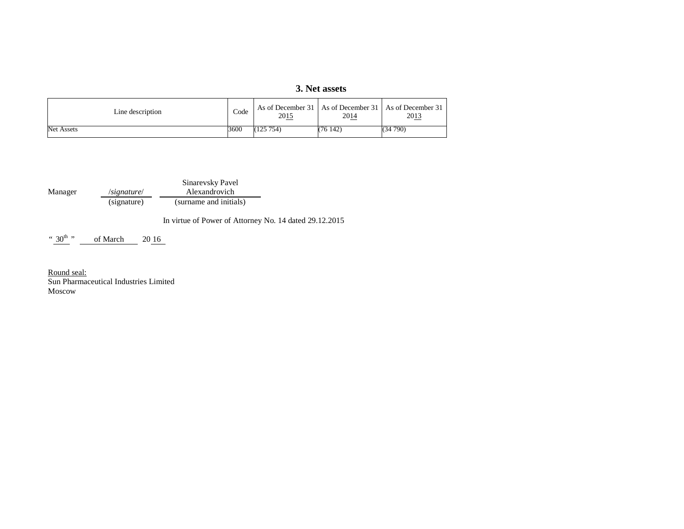# **3. Net assets**

| Line description  |      | 2015     | As of December 31   As of December 31   As of December 31<br>2014 | 2013    |
|-------------------|------|----------|-------------------------------------------------------------------|---------|
| <b>Net Assets</b> | 3600 | (125754) | (76142)                                                           | (34790) |

Manager /*signature*/ (signature) Sinarevsky Pavel Alexandrovich (signature) (surname and initials)

In virtue of Power of Attorney No. 14 dated 29.12.2015

 $``30<sup>th</sup> "$ of March 20 16

Round seal:<br>Sun Pharmaceutical Industries Limited Moscow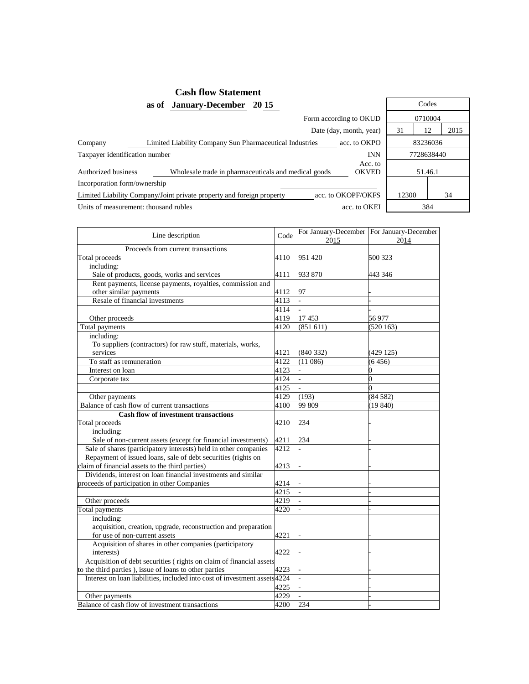# **Cash flow Statement**

**as of January-December 2015** 

|                                | Form according to OKUD                                                |                         |       |            |                |  |
|--------------------------------|-----------------------------------------------------------------------|-------------------------|-------|------------|----------------|--|
|                                |                                                                       | Date (day, month, year) | 31    | 12         | $\overline{2}$ |  |
| Company                        | Limited Liability Company Sun Pharmaceutical Industries               | acc. to OKPO            |       | 83236036   |                |  |
| Taxpayer identification number |                                                                       | <b>INN</b>              |       | 7728638440 |                |  |
| Authorized business            | Wholesale trade in pharmaceuticals and medical goods                  | Acc. to<br><b>OKVED</b> |       | 51.46.1    |                |  |
| Incorporation form/ownership   |                                                                       |                         |       |            |                |  |
|                                | Limited Liability Company/Joint private property and foreign property | acc. to OKOPF/OKFS      | 12300 | 34         |                |  |
|                                | Units of measurement: thousand rubles                                 | acc. to OKEI            |       | 384        |                |  |

|                                  | Codes      |         |      |  |  |  |
|----------------------------------|------------|---------|------|--|--|--|
| rm according to OKUD             |            | 0710004 |      |  |  |  |
| Date (day, month, year)          | 31         | 12      | 2015 |  |  |  |
| acc. to OKPO<br>es               | 83236036   |         |      |  |  |  |
| <b>INN</b>                       | 7728638440 |         |      |  |  |  |
| Acc. to<br><b>OKVED</b><br>goods | 51.46.1    |         |      |  |  |  |
|                                  |            |         |      |  |  |  |
| acc. to OKOPF/OKFS               | 12300      |         | 34   |  |  |  |
| acc. to OKEI                     | 384        |         |      |  |  |  |

| Line description                                                           | Code             | 2015     | For January-December   For January-December<br>2014 |
|----------------------------------------------------------------------------|------------------|----------|-----------------------------------------------------|
| Proceeds from current transactions                                         |                  |          |                                                     |
| Total proceeds                                                             | 4110             | 951420   | 500 323                                             |
| including:                                                                 |                  |          |                                                     |
| Sale of products, goods, works and services                                | 4111             | 933 870  | 443 346                                             |
| Rent payments, license payments, royalties, commission and                 |                  |          |                                                     |
| other similar payments                                                     | 4112             | 97       |                                                     |
| Resale of financial investments                                            | 4113             |          |                                                     |
|                                                                            | 4114             |          |                                                     |
| Other proceeds                                                             | 4119             | 17453    | 56977                                               |
| Total payments                                                             | 4120             | (851611) | (520163)                                            |
| including:                                                                 |                  |          |                                                     |
| To suppliers (contractors) for raw stuff, materials, works,                |                  |          |                                                     |
| services                                                                   | 4121             | (840332) | (429125)                                            |
| To staff as remuneration                                                   | $\frac{1}{4122}$ | (11086)  | (6456)                                              |
| Interest on loan                                                           | 4123             |          | 0                                                   |
| Corporate tax                                                              | 4124             |          | 0                                                   |
|                                                                            | 4125             |          | 0                                                   |
| Other payments                                                             | $\frac{1}{4129}$ | (193)    | (84582)                                             |
| Balance of cash flow of current transactions                               | 4100             | 99 809   | (19840)                                             |
| <b>Cash flow of investment transactions</b>                                |                  |          |                                                     |
| Total proceeds                                                             | 4210             | 234      |                                                     |
| including:                                                                 |                  |          |                                                     |
| Sale of non-current assets (except for financial investments)              | 4211             | 234      |                                                     |
| Sale of shares (participatory interests) held in other companies           | 4212             |          |                                                     |
| Repayment of issued loans, sale of debt securities (rights on              |                  |          |                                                     |
| claim of financial assets to the third parties)                            | 4213             |          |                                                     |
| Dividends, interest on loan financial investments and similar              |                  |          |                                                     |
| proceeds of participation in other Companies                               | 4214             |          |                                                     |
|                                                                            | 4215             |          |                                                     |
| Other proceeds                                                             | 4219             |          |                                                     |
| Total payments                                                             | 4220             |          |                                                     |
| including:                                                                 |                  |          |                                                     |
| acquisition, creation, upgrade, reconstruction and preparation             |                  |          |                                                     |
| for use of non-current assets                                              | 4221             |          |                                                     |
| Acquisition of shares in other companies (participatory                    |                  |          |                                                     |
| interests)                                                                 | 4222             |          |                                                     |
| Acquisition of debt securities (rights on claim of financial assets        |                  |          |                                                     |
| to the third parties), issue of loans to other parties                     | 4223             |          |                                                     |
| Interest on loan liabilities, included into cost of investment assets 4224 |                  |          |                                                     |
|                                                                            | 4225             |          |                                                     |
| Other payments                                                             | 4229             |          |                                                     |
| Balance of cash flow of investment transactions                            | 4200             | 234      |                                                     |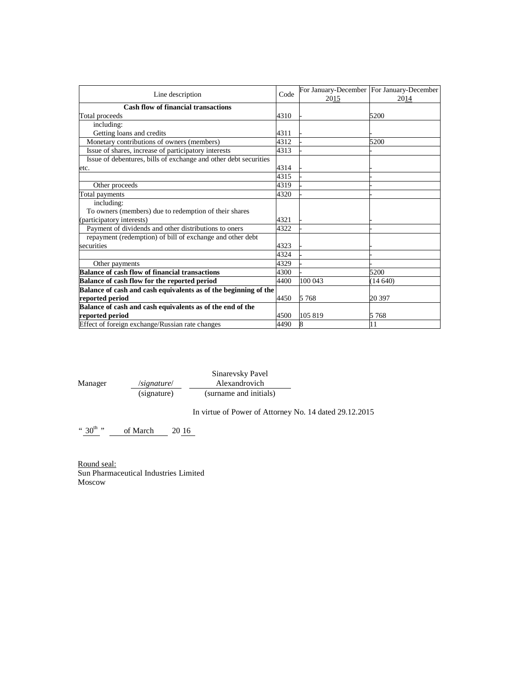| Line description                                                 | Code | 2015    | For January-December   For January-December<br>2014 |
|------------------------------------------------------------------|------|---------|-----------------------------------------------------|
| <b>Cash flow of financial transactions</b>                       |      |         |                                                     |
| Total proceeds                                                   | 4310 |         | 5200                                                |
| including:                                                       |      |         |                                                     |
| Getting loans and credits                                        | 4311 |         |                                                     |
| Monetary contributions of owners (members)                       | 4312 |         | 5200                                                |
| Issue of shares, increase of participatory interests             | 4313 |         |                                                     |
| Issue of debentures, bills of exchange and other debt securities |      |         |                                                     |
| etc.                                                             | 4314 |         |                                                     |
|                                                                  | 4315 |         |                                                     |
| Other proceeds                                                   | 4319 |         |                                                     |
| Total payments                                                   | 4320 |         |                                                     |
| including:                                                       |      |         |                                                     |
| To owners (members) due to redemption of their shares            |      |         |                                                     |
| (participatory interests)                                        | 4321 |         |                                                     |
| Payment of dividends and other distributions to oners            | 4322 |         |                                                     |
| repayment (redemption) of bill of exchange and other debt        |      |         |                                                     |
| securities                                                       | 4323 |         |                                                     |
|                                                                  | 4324 |         |                                                     |
| Other payments                                                   | 4329 |         |                                                     |
| <b>Balance of cash flow of financial transactions</b>            | 4300 |         | 5200                                                |
| Balance of cash flow for the reported period                     | 4400 | 100 043 | (14640)                                             |
| Balance of cash and cash equivalents as of the beginning of the  |      |         |                                                     |
| reported period                                                  | 4450 | 5 7 6 8 | 20 397                                              |
| Balance of cash and cash equivalents as of the end of the        |      |         |                                                     |
| reported period                                                  | 4500 | 105 819 | 5 7 6 8                                             |
| Effect of foreign exchange/Russian rate changes                  | 4490 | 8       | 11                                                  |

|         |                           | Sinarevsky Pavel       |  |  |
|---------|---------------------------|------------------------|--|--|
| Manager | $\sqrt{\text{signature}}$ | Alexandrovich          |  |  |
|         | (signature)               | (surname and initials) |  |  |

In virtue of Power of Attorney No. 14 dated 29.12.2015

" $30^{th}$ " of March 20 16

Round seal: Sun Pharmaceutical Industries Limited Moscow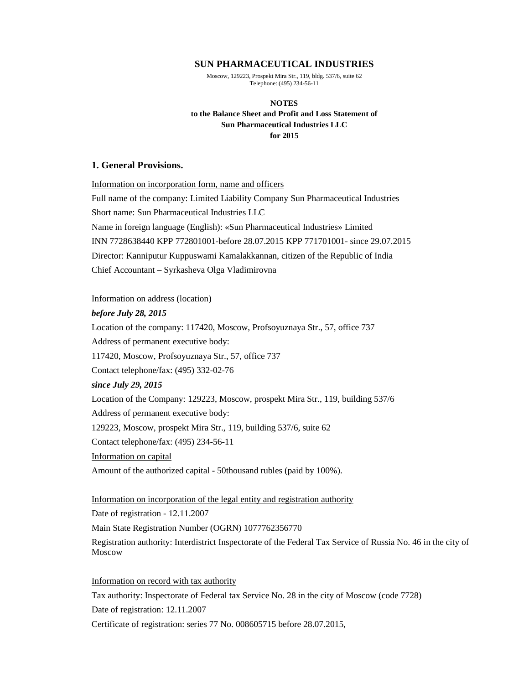### **SUN PHARMACEUTICAL INDUSTRIES**

Moscow, 129223, Prospekt Mira Str., 119, bldg. 537/6, suite 62 Telephone: (495) 234-56-11

# **NOTES to the Balance Sheet and Profit and Loss Statement of Sun Pharmaceutical Industries LLC for 2015**

# **1. General Provisions.**

Information on incorporation form, name and officers Full name of the company: Limited Liability Company Sun Pharmaceutical Industries Short name: Sun Pharmaceutical Industries LLC Name in foreign language (English): «Sun Pharmaceutical Industries» Limited INN 7728638440 KPP 772801001-before 28.07.2015 KPP 771701001- since 29.07.2015 Director: Kanniputur Kuppuswami Kamalakkannan, citizen of the Republic of India Chief Accountant – Syrkasheva Olga Vladimirovna

# Information on address (location)

# *before July 28, 2015*

Location of the company: 117420, Moscow, Profsoyuznaya Str., 57, office 737 Address of permanent executive body: 117420, Moscow, Profsoyuznaya Str., 57, office 737 Contact telephone/fax: (495) 332-02-76 *since July 29, 2015* Location of the Company: 129223, Moscow, prospekt Mira Str., 119, building 537/6 Address of permanent executive body: 129223, Moscow, prospekt Mira Str., 119, building 537/6, suite 62 Contact telephone/fax: (495) 234-56-11 Information on capital Amount of the authorized capital - 50thousand rubles (paid by 100%).

# Information on incorporation of the legal entity and registration authority

Date of registration - 12.11.2007

Main State Registration Number (OGRN) 1077762356770

Registration authority: Interdistrict Inspectorate of the Federal Tax Service of Russia No. 46 in the city of Moscow

Information on record with tax authority Tax authority: Inspectorate of Federal tax Service No. 28 in the city of Moscow (code 7728) Date of registration: 12.11.2007

Certificate of registration: series 77 No. 008605715 before 28.07.2015,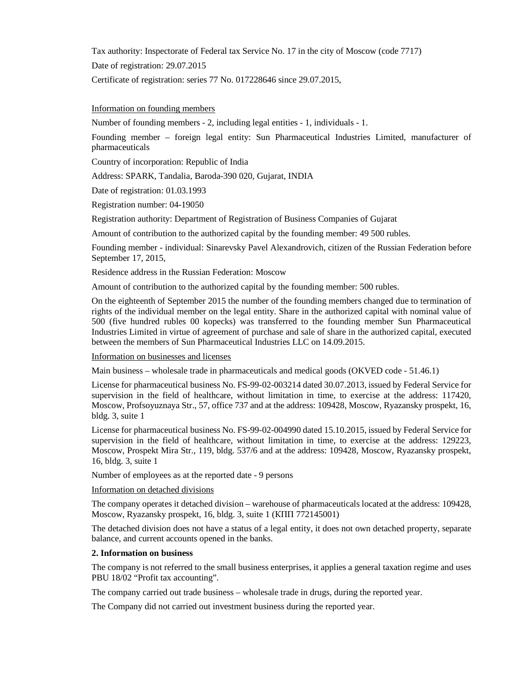Tax authority: Inspectorate of Federal tax Service No. 17 in the city of Moscow (code 7717) Date of registration: 29.07.2015 Certificate of registration: series 77 No. 017228646 since 29.07.2015,

Information on founding members

Number of founding members - 2, including legal entities - 1, individuals - 1.

Founding member – foreign legal entity: Sun Pharmaceutical Industries Limited, manufacturer of pharmaceuticals

Country of incorporation: Republic of India

Address: SPARK, Tandalia, Baroda-390 020, Gujarat, INDIA

Date of registration: 01.03.1993

Registration number: 04-19050

Registration authority: Department of Registration of Business Companies of Gujarat

Amount of contribution to the authorized capital by the founding member: 49 500 rubles.

Founding member - individual: Sinarevsky Pavel Alexandrovich, citizen of the Russian Federation before September 17, 2015,

Residence address in the Russian Federation: Moscow

Amount of contribution to the authorized capital by the founding member: 500 rubles.

On the eighteenth of September 2015 the number of the founding members changed due to termination of rights of the individual member on the legal entity. Share in the authorized capital with nominal value of 500 (five hundred rubles 00 kopecks) was transferred to the founding member Sun Pharmaceutical Industries Limited in virtue of agreement of purchase and sale of share in the authorized capital, executed between the members of Sun Pharmaceutical Industries LLC on 14.09.2015.

# Information on businesses and licenses

Main business – wholesale trade in pharmaceuticals and medical goods (OKVED code - 51.46.1)

License for pharmaceutical business No. FS-99-02-003214 dated 30.07.2013, issued by Federal Service for supervision in the field of healthcare, without limitation in time, to exercise at the address: 117420, Moscow, Profsoyuznaya Str., 57, office 737 and at the address: 109428, Moscow, Ryazansky prospekt, 16, bldg. 3, suite 1

License for pharmaceutical business No. FS-99-02-004990 dated 15.10.2015, issued by Federal Service for supervision in the field of healthcare, without limitation in time, to exercise at the address: 129223, Moscow, Prospekt Mira Str., 119, bldg. 537/6 and at the address: 109428, Moscow, Ryazansky prospekt, 16, bldg. 3, suite 1

Number of employees as at the reported date - 9 persons

# Information on detached divisions

The company operates it detached division – warehouse of pharmaceuticals located at the address: 109428, Moscow, Ryazansky prospekt, 16, bldg. 3, suite 1 (КПП 772145001)

The detached division does not have a status of a legal entity, it does not own detached property, separate balance, and current accounts opened in the banks.

#### **2. Information on business**

The company is not referred to the small business enterprises, it applies a general taxation regime and uses PBU 18/02 "Profit tax accounting".

The company carried out trade business – wholesale trade in drugs, during the reported year.

The Company did not carried out investment business during the reported year.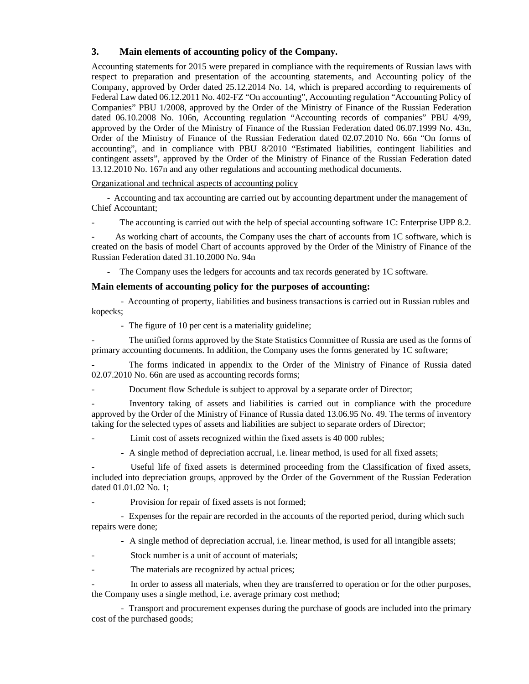# **3. Main elements of accounting policy of the Company.**

Accounting statements for 2015 were prepared in compliance with the requirements of Russian laws with respect to preparation and presentation of the accounting statements, and Accounting policy of the Company, approved by Order dated 25.12.2014 No. 14, which is prepared according to requirements of Federal Law dated 06.12.2011 No. 402-FZ "On accounting", Accounting regulation "Accounting Policy of Companies" PBU 1/2008, approved by the Order of the Ministry of Finance of the Russian Federation dated 06.10.2008 No. 106n, Accounting regulation "Accounting records of companies" PBU 4/99, approved by the Order of the Ministry of Finance of the Russian Federation dated 06.07.1999 No. 43n, Order of the Ministry of Finance of the Russian Federation dated 02.07.2010 No. 66n "On forms of accounting", and in compliance with PBU 8/2010 "Estimated liabilities, contingent liabilities and contingent assets", approved by the Order of the Ministry of Finance of the Russian Federation dated 13.12.2010 No. 167n and any other regulations and accounting methodical documents.

Organizational and technical aspects of accounting policy

- Accounting and tax accounting are carried out by accounting department under the management of Chief Accountant;

The accounting is carried out with the help of special accounting software 1C: Enterprise UPP 8.2.

As working chart of accounts, the Company uses the chart of accounts from 1C software, which is created on the basis of model Chart of accounts approved by the Order of the Ministry of Finance of the Russian Federation dated 31.10.2000 No. 94n

- The Company uses the ledgers for accounts and tax records generated by 1C software.

# **Main elements of accounting policy for the purposes of accounting:**

- Accounting of property, liabilities and business transactions is carried out in Russian rubles and kopecks;

- The figure of 10 per cent is a materiality guideline;

- The unified forms approved by the State Statistics Committee of Russia are used as the forms of primary accounting documents. In addition, the Company uses the forms generated by 1C software;

The forms indicated in appendix to the Order of the Ministry of Finance of Russia dated 02.07.2010 No. 66n are used as accounting records forms;

Document flow Schedule is subject to approval by a separate order of Director;

- Inventory taking of assets and liabilities is carried out in compliance with the procedure approved by the Order of the Ministry of Finance of Russia dated 13.06.95 No. 49. The terms of inventory taking for the selected types of assets and liabilities are subject to separate orders of Director;

Limit cost of assets recognized within the fixed assets is 40 000 rubles;

- A single method of depreciation accrual, i.e. linear method, is used for all fixed assets;

Useful life of fixed assets is determined proceeding from the Classification of fixed assets, included into depreciation groups, approved by the Order of the Government of the Russian Federation dated 01.01.02 No. 1;

Provision for repair of fixed assets is not formed;

- Expenses for the repair are recorded in the accounts of the reported period, during which such repairs were done;

- A single method of depreciation accrual, i.e. linear method, is used for all intangible assets;

Stock number is a unit of account of materials;

The materials are recognized by actual prices;

In order to assess all materials, when they are transferred to operation or for the other purposes, the Company uses a single method, i.e. average primary cost method;

- Transport and procurement expenses during the purchase of goods are included into the primary cost of the purchased goods;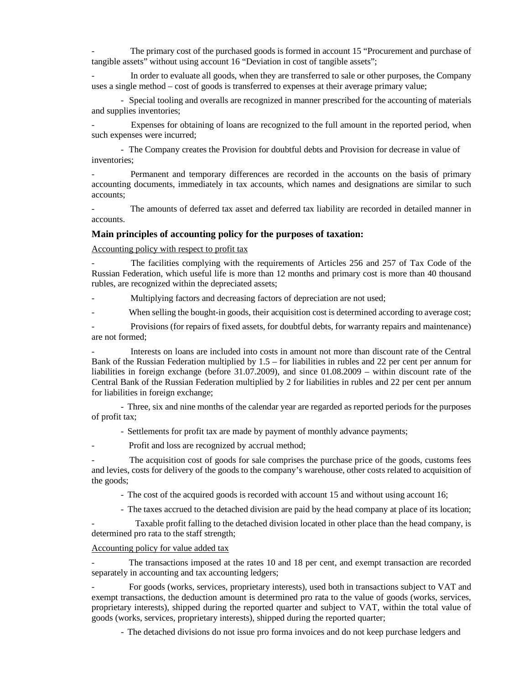The primary cost of the purchased goods is formed in account 15 "Procurement and purchase of tangible assets" without using account 16 "Deviation in cost of tangible assets";

In order to evaluate all goods, when they are transferred to sale or other purposes, the Company uses a single method – cost of goods is transferred to expenses at their average primary value;

- Special tooling and overalls are recognized in manner prescribed for the accounting of materials and supplies inventories;

Expenses for obtaining of loans are recognized to the full amount in the reported period, when such expenses were incurred;

- The Company creates the Provision for doubtful debts and Provision for decrease in value of inventories;

Permanent and temporary differences are recorded in the accounts on the basis of primary accounting documents, immediately in tax accounts, which names and designations are similar to such accounts;

The amounts of deferred tax asset and deferred tax liability are recorded in detailed manner in accounts.

#### **Main principles of accounting policy for the purposes of taxation:**

Accounting policy with respect to profit tax

The facilities complying with the requirements of Articles 256 and 257 of Tax Code of the Russian Federation, which useful life is more than 12 months and primary cost is more than 40 thousand rubles, are recognized within the depreciated assets;

Multiplying factors and decreasing factors of depreciation are not used;

When selling the bought-in goods, their acquisition cost is determined according to average cost;

- Provisions (for repairs of fixed assets, for doubtful debts, for warranty repairs and maintenance) are not formed;

- Interests on loans are included into costs in amount not more than discount rate of the Central Bank of the Russian Federation multiplied by  $1.5 -$  for liabilities in rubles and 22 per cent per annum for liabilities in foreign exchange (before 31.07.2009), and since 01.08.2009 – within discount rate of the Central Bank of the Russian Federation multiplied by 2 for liabilities in rubles and 22 per cent per annum for liabilities in foreign exchange;

- Three, six and nine months of the calendar year are regarded as reported periods for the purposes of profit tax;

- Settlements for profit tax are made by payment of monthly advance payments;

Profit and loss are recognized by accrual method;

The acquisition cost of goods for sale comprises the purchase price of the goods, customs fees and levies, costs for delivery of the goods to the company's warehouse, other costs related to acquisition of the goods;

- The cost of the acquired goods is recorded with account 15 and without using account 16;

- The taxes accrued to the detached division are paid by the head company at place of its location;

Taxable profit falling to the detached division located in other place than the head company, is determined pro rata to the staff strength;

# Accounting policy for value added tax

The transactions imposed at the rates 10 and 18 per cent, and exempt transaction are recorded separately in accounting and tax accounting ledgers;

- For goods (works, services, proprietary interests), used both in transactions subject to VAT and exempt transactions, the deduction amount is determined pro rata to the value of goods (works, services, proprietary interests), shipped during the reported quarter and subject to VAT, within the total value of goods (works, services, proprietary interests), shipped during the reported quarter;

- The detached divisions do not issue pro forma invoices and do not keep purchase ledgers and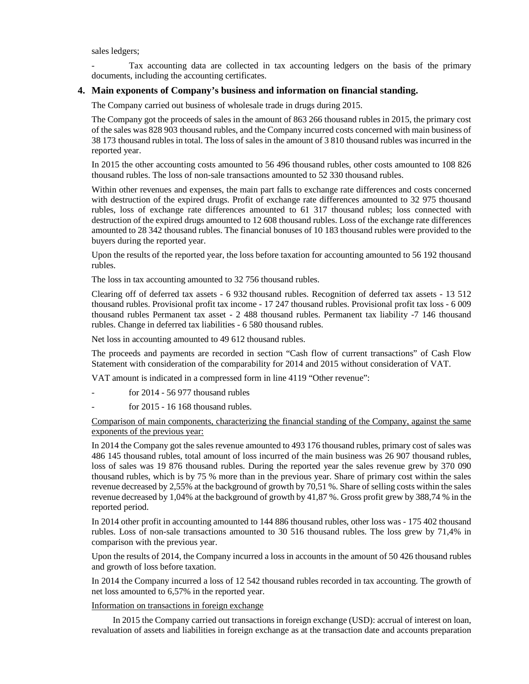sales ledgers;

Tax accounting data are collected in tax accounting ledgers on the basis of the primary documents, including the accounting certificates.

# **4. Main exponents of Company's business and information on financial standing.**

The Company carried out business of wholesale trade in drugs during 2015.

The Company got the proceeds of sales in the amount of 863 266 thousand rubles in 2015, the primary cost of the sales was 828 903 thousand rubles, and the Company incurred costs concerned with main business of 38 173 thousand rubles in total. The loss of sales in the amount of 3 810 thousand rubles was incurred in the reported year.

In 2015 the other accounting costs amounted to 56 496 thousand rubles, other costs amounted to 108 826 thousand rubles. The loss of non-sale transactions amounted to 52 330 thousand rubles.

Within other revenues and expenses, the main part falls to exchange rate differences and costs concerned with destruction of the expired drugs. Profit of exchange rate differences amounted to 32 975 thousand rubles, loss of exchange rate differences amounted to 61 317 thousand rubles; loss connected with destruction of the expired drugs amounted to 12 608 thousand rubles. Loss of the exchange rate differences amounted to 28 342 thousand rubles. The financial bonuses of 10 183 thousand rubles were provided to the buyers during the reported year.

Upon the results of the reported year, the loss before taxation for accounting amounted to 56 192 thousand rubles.

The loss in tax accounting amounted to 32 756 thousand rubles.

Clearing off of deferred tax assets - 6 932 thousand rubles. Recognition of deferred tax assets - 13 512 thousand rubles. Provisional profit tax income - 17 247 thousand rubles. Provisional profit tax loss - 6 009 thousand rubles Permanent tax asset - 2 488 thousand rubles. Permanent tax liability -7 146 thousand rubles. Change in deferred tax liabilities - 6 580 thousand rubles.

Net loss in accounting amounted to 49 612 thousand rubles.

The proceeds and payments are recorded in section "Cash flow of current transactions" of Cash Flow Statement with consideration of the comparability for 2014 and 2015 without consideration of VAT.

VAT amount is indicated in a compressed form in line 4119 "Other revenue":

- for 2014 56 977 thousand rubles
- for 2015 16 168 thousand rubles.

# Comparison of main components, characterizing the financial standing of the Company, against the same exponents of the previous year:

In 2014 the Company got the sales revenue amounted to 493 176 thousand rubles, primary cost of sales was 486 145 thousand rubles, total amount of loss incurred of the main business was 26 907 thousand rubles, loss of sales was 19 876 thousand rubles. During the reported year the sales revenue grew by 370 090 thousand rubles, which is by 75 % more than in the previous year. Share of primary cost within the sales revenue decreased by 2,55% at the background of growth by 70,51 %. Share of selling costs within the sales revenue decreased by 1,04% at the background of growth by 41,87 %. Gross profit grew by 388,74 % in the reported period.

In 2014 other profit in accounting amounted to 144 886 thousand rubles, other loss was - 175 402 thousand rubles. Loss of non-sale transactions amounted to 30 516 thousand rubles. The loss grew by 71,4% in comparison with the previous year.

Upon the results of 2014, the Company incurred a loss in accounts in the amount of 50 426 thousand rubles and growth of loss before taxation.

In 2014 the Company incurred a loss of 12 542 thousand rubles recorded in tax accounting. The growth of net loss amounted to 6,57% in the reported year.

Information on transactions in foreign exchange

In 2015 the Company carried out transactions in foreign exchange (USD): accrual of interest on loan, revaluation of assets and liabilities in foreign exchange as at the transaction date and accounts preparation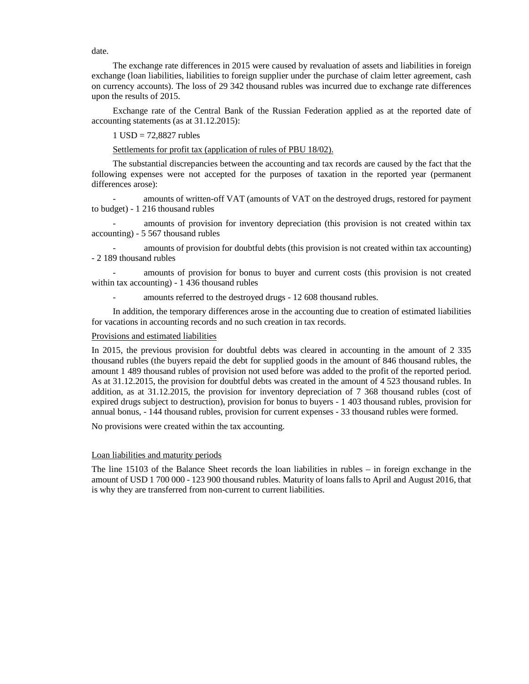date.

The exchange rate differences in 2015 were caused by revaluation of assets and liabilities in foreign exchange (loan liabilities, liabilities to foreign supplier under the purchase of claim letter agreement, cash on currency accounts). The loss of 29 342 thousand rubles was incurred due to exchange rate differences upon the results of 2015.

Exchange rate of the Central Bank of the Russian Federation applied as at the reported date of accounting statements (as at 31.12.2015):

 $1$  USD = 72,8827 rubles

Settlements for profit tax (application of rules of PBU 18/02).

The substantial discrepancies between the accounting and tax records are caused by the fact that the following expenses were not accepted for the purposes of taxation in the reported year (permanent differences arose):

- amounts of written-off VAT (amounts of VAT on the destroyed drugs, restored for payment to budget) - 1 216 thousand rubles

- amounts of provision for inventory depreciation (this provision is not created within tax accounting) - 5 567 thousand rubles

amounts of provision for doubtful debts (this provision is not created within tax accounting) - 2 189 thousand rubles

- amounts of provision for bonus to buyer and current costs (this provision is not created within tax accounting) - 1 436 thousand rubles

amounts referred to the destroyed drugs - 12 608 thousand rubles.

In addition, the temporary differences arose in the accounting due to creation of estimated liabilities for vacations in accounting records and no such creation in tax records.

#### Provisions and estimated liabilities

In 2015, the previous provision for doubtful debts was cleared in accounting in the amount of 2 335 thousand rubles (the buyers repaid the debt for supplied goods in the amount of 846 thousand rubles, the amount 1 489 thousand rubles of provision not used before was added to the profit of the reported period. As at 31.12.2015, the provision for doubtful debts was created in the amount of 4 523 thousand rubles. In addition, as at 31.12.2015, the provision for inventory depreciation of 7 368 thousand rubles (cost of expired drugs subject to destruction), provision for bonus to buyers - 1 403 thousand rubles, provision for annual bonus, - 144 thousand rubles, provision for current expenses - 33 thousand rubles were formed.

No provisions were created within the tax accounting.

#### Loan liabilities and maturity periods

The line 15103 of the Balance Sheet records the loan liabilities in rubles – in foreign exchange in the amount of USD 1 700 000 - 123 900 thousand rubles. Maturity of loans falls to April and August 2016, that is why they are transferred from non-current to current liabilities.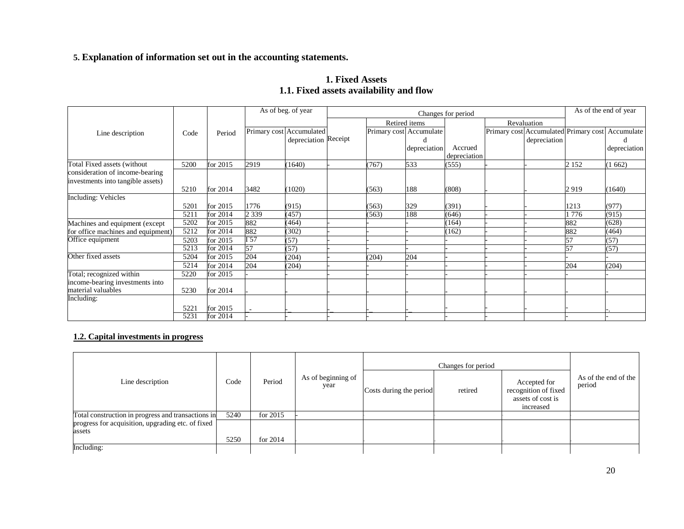# **5. Explanation of information set out in the accounting statements.**

|                                         | 1. Fixed Assets |  |
|-----------------------------------------|-----------------|--|
| 1.1. Fixed assets availability and flow |                 |  |

|                                    |      |          |                 | As of beg. of year       | Changes for period |                         |              |  |                                       |         | As of the end of year |
|------------------------------------|------|----------|-----------------|--------------------------|--------------------|-------------------------|--------------|--|---------------------------------------|---------|-----------------------|
|                                    |      |          |                 |                          |                    | Retired items           |              |  | Revaluation                           |         |                       |
| Line description                   | Code | Period   |                 | Primary cost Accumulated |                    | Primary cost Accumulate |              |  | Primary cost Accumulated Primary cost |         | Accumulate            |
|                                    |      |          |                 | depreciation Receipt     |                    | d                       |              |  | depreciation                          |         |                       |
|                                    |      |          |                 |                          |                    | depreciation            | Accrued      |  |                                       |         | depreciation          |
|                                    |      |          |                 |                          |                    |                         | depreciation |  |                                       |         |                       |
| Total Fixed assets (without        | 5200 | for 2015 | 2919            | (1640)                   | (767)              | 533                     | (555)        |  |                                       | 2 1 5 2 | (1662)                |
| consideration of income-bearing    |      |          |                 |                          |                    |                         |              |  |                                       |         |                       |
| investments into tangible assets)  |      |          |                 |                          |                    |                         |              |  |                                       |         |                       |
|                                    | 5210 | for 2014 | 3482            | 1020                     | (563)              | 188                     | (808)        |  |                                       | 2919    | (1640)                |
| <b>Including: Vehicles</b>         |      |          |                 |                          |                    |                         |              |  |                                       |         |                       |
|                                    | 5201 | for 2015 | 1776            | (915)                    | (563)              | 329                     | (391)        |  |                                       | 1213    | (977)                 |
|                                    | 5211 | for 2014 | 2 3 3 9         | (457)                    | (563)              | 188                     | (646)        |  |                                       | 1776    | (915)                 |
| Machines and equipment (except)    | 5202 | for 2015 | 882             | (464)                    |                    |                         | (164)        |  |                                       | 882     | (628)                 |
| for office machines and equipment) | 5212 | for 2014 | 882             | (302)                    |                    |                         | (162)        |  |                                       | 882     | (464)                 |
| Office equipment                   | 5203 | for 2015 | $\overline{57}$ | (57)                     |                    |                         |              |  |                                       | 57      | (57)                  |
|                                    | 5213 | for 2014 | 57              | (57)                     |                    |                         |              |  |                                       | 57      | (57)                  |
| Other fixed assets                 | 5204 | for 2015 | 204             | (204)                    | (204)              | 204                     |              |  |                                       |         |                       |
|                                    | 5214 | for 2014 | 204             | (204)                    |                    |                         |              |  |                                       | 204     | (204)                 |
| Total; recognized within           | 5220 | for 2015 |                 |                          |                    |                         |              |  |                                       |         |                       |
| income-bearing investments into    |      |          |                 |                          |                    |                         |              |  |                                       |         |                       |
| material valuables                 | 5230 | for 2014 |                 |                          |                    |                         |              |  |                                       |         |                       |
| Including:                         |      |          |                 |                          |                    |                         |              |  |                                       |         |                       |
|                                    | 5221 | for 2015 |                 |                          |                    |                         |              |  |                                       |         |                       |
|                                    | 5231 | for 2014 |                 |                          |                    |                         |              |  |                                       |         |                       |

# **1.2. Capital investments in progress**

|                                                    |      |            |                            |                         | Changes for period |                                                                        |                                |
|----------------------------------------------------|------|------------|----------------------------|-------------------------|--------------------|------------------------------------------------------------------------|--------------------------------|
| Line description                                   | Code | Period     | As of beginning of<br>year | Costs during the period | retired            | Accepted for<br>recognition of fixed<br>assets of cost is<br>increased | As of the end of the<br>period |
| Total construction in progress and transactions in | 5240 | for $2015$ |                            |                         |                    |                                                                        |                                |
| progress for acquisition, upgrading etc. of fixed  |      |            |                            |                         |                    |                                                                        |                                |
| assets                                             |      |            |                            |                         |                    |                                                                        |                                |
|                                                    | 5250 | for $2014$ |                            |                         |                    |                                                                        |                                |
| Including:                                         |      |            |                            |                         |                    |                                                                        |                                |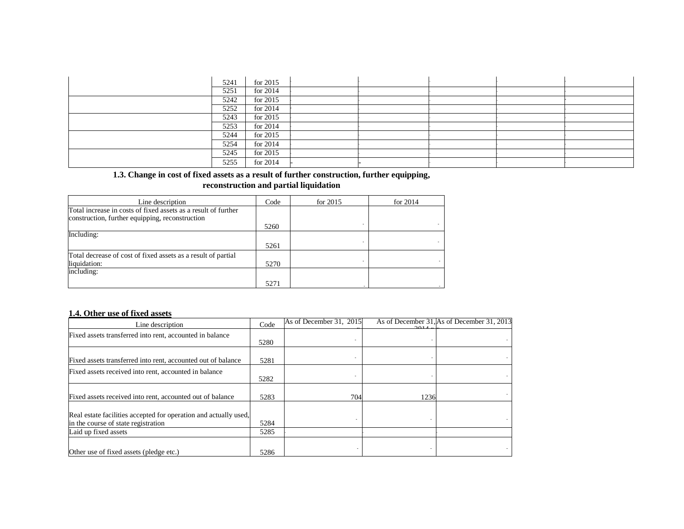| 5241 | for 2015   |  |  |  |
|------|------------|--|--|--|
| 5251 | for 2014   |  |  |  |
| 5242 | for $2015$ |  |  |  |
| 5252 | for 2014   |  |  |  |
| 5243 | for $2015$ |  |  |  |
| 5253 | for 2014   |  |  |  |
| 5244 | for $2015$ |  |  |  |
| 5254 | for 2014   |  |  |  |
| 5245 | for $2015$ |  |  |  |
| 5255 | for $2014$ |  |  |  |

## **1.3. Change in cost of fixed assets as a result of further construction, further equipping, reconstruction and partial liquidation**

| Line description                                               | Code | for $2015$ | for $2014$ |
|----------------------------------------------------------------|------|------------|------------|
| Total increase in costs of fixed assets as a result of further |      |            |            |
| construction, further equipping, reconstruction                |      |            |            |
|                                                                | 5260 |            |            |
| Including:                                                     |      |            |            |
|                                                                | 5261 |            |            |
| Total decrease of cost of fixed assets as a result of partial  |      |            |            |
| liquidation:                                                   | 5270 |            |            |
| including:                                                     |      |            |            |
|                                                                | 5271 |            |            |

# **1.4. Other use of fixed assets**

| Line description                                                                                        | Code | As of December 31, 2015 | 2011 | As of December 31, As of December 31, 2013 |
|---------------------------------------------------------------------------------------------------------|------|-------------------------|------|--------------------------------------------|
| Fixed assets transferred into rent, accounted in balance                                                | 5280 |                         |      |                                            |
| Fixed assets transferred into rent, accounted out of balance                                            | 5281 |                         |      |                                            |
| Fixed assets received into rent, accounted in balance                                                   | 5282 |                         |      |                                            |
| Fixed assets received into rent, accounted out of balance                                               | 5283 | 704                     | 1236 |                                            |
| Real estate facilities accepted for operation and actually used,<br>in the course of state registration | 5284 |                         |      |                                            |
| Laid up fixed assets                                                                                    | 5285 |                         |      |                                            |
| Other use of fixed assets (pledge etc.)                                                                 | 5286 |                         |      |                                            |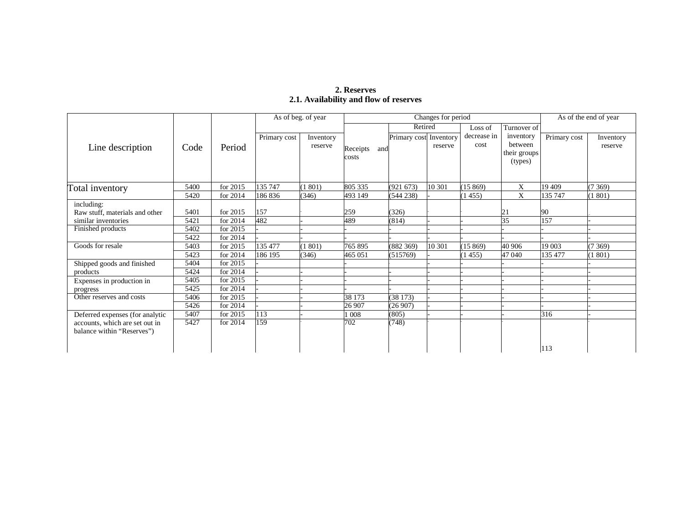# **2. Reserves 2.1. Availability and flow of reserves**

|                                 |      |            | As of beg. of year |                      |                 | Changes for period     | As of the end of year |                     |                                      |              |                      |
|---------------------------------|------|------------|--------------------|----------------------|-----------------|------------------------|-----------------------|---------------------|--------------------------------------|--------------|----------------------|
|                                 |      |            |                    |                      |                 | Retired                |                       | Loss of             | Turnover of                          |              |                      |
| Line description                | Code | Period     | Primary cost       | Inventory<br>reserve | Receipts<br>and | Primary cost Inventory | reserve               | decrease in<br>cost | inventory<br>between<br>their groups | Primary cost | Inventory<br>reserve |
|                                 |      |            |                    |                      | costs           |                        |                       |                     | (types)                              |              |                      |
| Total inventory                 | 5400 | for 2015   | 135 747            | (1801)               | 805 335         | (921 673)              | 10 301                | (15869)             | X                                    | 19 409       | 7369                 |
|                                 | 5420 | for 2014   | 186836             | (346)                | 493 149         | (544 238)              |                       | (1455)              | X                                    | 135 747      | 1 801)               |
| including:                      |      |            |                    |                      |                 |                        |                       |                     |                                      |              |                      |
| Raw stuff, materials and other  | 5401 | for 2015   | 157                |                      | 259             | (326)                  |                       |                     | 21                                   | 90           |                      |
| similar inventories             | 5421 | for 2014   | 482                |                      | 489             | (814)                  |                       |                     | 35                                   | 157          |                      |
| Finished products               | 5402 | for 2015   |                    |                      |                 |                        |                       |                     |                                      |              |                      |
|                                 | 5422 | for 2014   |                    |                      |                 |                        |                       |                     |                                      |              |                      |
| Goods for resale                | 5403 | for 2015   | 135 477            | (1801)               | 765 895         | (882 369)              | 10 301                | (15869)             | 40 906                               | 19 003       | (7369)               |
|                                 | 5423 | for 2014   | 186 195            | (346)                | 465 051         | (515769)               |                       | (1455)              | 47 040                               | 135 477      | 801)                 |
| Shipped goods and finished      | 5404 | for 2015   |                    |                      |                 |                        |                       |                     |                                      |              |                      |
| products                        | 5424 | for $2014$ |                    |                      |                 |                        |                       |                     |                                      |              |                      |
| Expenses in production in       | 5405 | for 2015   |                    |                      |                 |                        |                       |                     |                                      |              |                      |
| progress                        | 5425 | for 2014   |                    |                      |                 |                        |                       |                     |                                      |              |                      |
| Other reserves and costs        | 5406 | for 2015   |                    |                      | 38 173          | (38173)                |                       |                     |                                      |              |                      |
|                                 | 5426 | for 2014   |                    |                      | 26 907          | (26907)                |                       |                     |                                      |              |                      |
| Deferred expenses (for analytic | 5407 | for 2015   | 113                |                      | 1008            | (805)                  |                       |                     |                                      | 316          |                      |
| accounts, which are set out in  | 5427 | for 2014   | 159                |                      | 702             | (748)                  |                       |                     |                                      |              |                      |
| balance within "Reserves")      |      |            |                    |                      |                 |                        |                       |                     |                                      |              |                      |
|                                 |      |            |                    |                      |                 |                        |                       |                     |                                      | 113          |                      |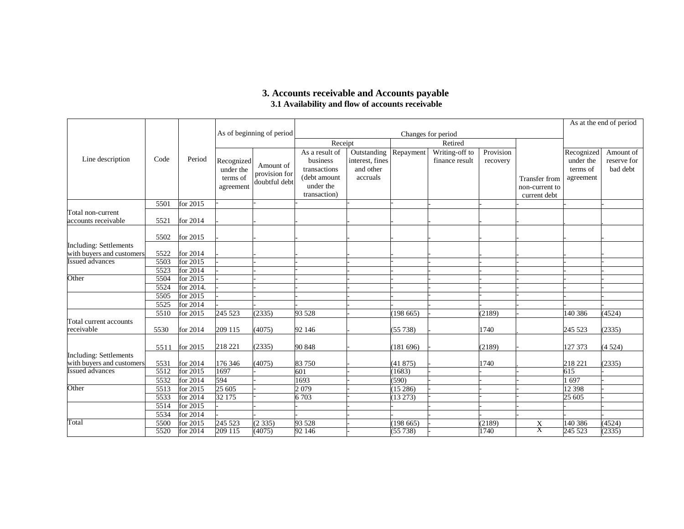# **3. Accounts receivable and Accounts payable 3.1 Availability and flow of accounts receivable**

|                                                     |              |                        |                                                  |                                             |                                                                                         |                                                                |                   |                                  |                       |                                                 |                                                  | As at the end of period              |
|-----------------------------------------------------|--------------|------------------------|--------------------------------------------------|---------------------------------------------|-----------------------------------------------------------------------------------------|----------------------------------------------------------------|-------------------|----------------------------------|-----------------------|-------------------------------------------------|--------------------------------------------------|--------------------------------------|
|                                                     |              |                        |                                                  | As of beginning of period                   |                                                                                         |                                                                |                   | Changes for period               |                       |                                                 |                                                  |                                      |
|                                                     |              |                        |                                                  |                                             | Receipt                                                                                 |                                                                |                   | Retired                          |                       |                                                 |                                                  |                                      |
| Line description                                    | Code         | Period                 | Recognized<br>under the<br>terms of<br>agreement | Amount of<br>provision for<br>doubtful debt | As a result of<br>business<br>transactions<br>(debt amount<br>under the<br>transaction) | <b>Outstanding</b><br>interest, fines<br>and other<br>accruals | Repayment         | Writing-off to<br>finance result | Provision<br>recovery | Transfer from<br>non-current to<br>current debt | Recognized<br>under the<br>terms of<br>agreement | Amount of<br>reserve for<br>bad debt |
|                                                     | 5501         | for 2015               |                                                  |                                             |                                                                                         |                                                                |                   |                                  |                       |                                                 |                                                  |                                      |
| Total non-current<br>accounts receivable            | 5521         | for 2014               |                                                  |                                             |                                                                                         |                                                                |                   |                                  |                       |                                                 |                                                  |                                      |
|                                                     | 5502         | for 2015               |                                                  |                                             |                                                                                         |                                                                |                   |                                  |                       |                                                 |                                                  |                                      |
| <b>Including: Settlements</b>                       |              |                        |                                                  |                                             |                                                                                         |                                                                |                   |                                  |                       |                                                 |                                                  |                                      |
| with buyers and customers                           | 5522         | for 2014               |                                                  |                                             |                                                                                         |                                                                |                   |                                  |                       |                                                 |                                                  |                                      |
| <b>Issued advances</b>                              | 5503         | for 2015               |                                                  |                                             |                                                                                         |                                                                |                   |                                  |                       |                                                 |                                                  |                                      |
|                                                     | 5523         | for 2014               |                                                  |                                             |                                                                                         |                                                                |                   |                                  |                       |                                                 |                                                  |                                      |
| Other                                               | 5504         | for 2015               |                                                  |                                             |                                                                                         |                                                                |                   |                                  |                       |                                                 |                                                  |                                      |
|                                                     | 5524         | for 2014.              |                                                  |                                             |                                                                                         |                                                                |                   |                                  |                       |                                                 |                                                  |                                      |
|                                                     | 5505         | for 2015               |                                                  |                                             |                                                                                         |                                                                |                   |                                  |                       |                                                 |                                                  |                                      |
|                                                     | 5525         | for 2014               |                                                  |                                             |                                                                                         |                                                                |                   |                                  |                       |                                                 |                                                  |                                      |
|                                                     | 5510         | for 2015               | 245 523                                          | (2335)                                      | 93 528                                                                                  |                                                                | (198665)          |                                  | (2189)                |                                                 | 140 386                                          | (4524)                               |
| Total current accounts<br>receivable                | 5530         | for 2014               | 209 115                                          | (4075)                                      | 92 146                                                                                  |                                                                | (55738)           |                                  | 1740                  |                                                 | 245 523                                          | (2335)                               |
|                                                     | 5511         | for 2015               | 218 221                                          | (2335)                                      | 90 848                                                                                  |                                                                | (181696)          |                                  | (2189)                |                                                 | 127 373                                          | (4524)                               |
| Including: Settlements                              |              |                        |                                                  |                                             |                                                                                         |                                                                |                   |                                  |                       |                                                 |                                                  |                                      |
| with buyers and customers<br><b>Issued advances</b> | 5531<br>5512 | for 2014<br>for $2015$ | 176 346<br>1697                                  | (4075)                                      | 83 750                                                                                  |                                                                | (41875)<br>(1683) |                                  | 1740                  |                                                 | 218 221<br>615                                   | (2335)                               |
|                                                     |              |                        |                                                  |                                             | 601                                                                                     |                                                                |                   |                                  |                       |                                                 |                                                  |                                      |
|                                                     | 5532         | for 2014               | 594                                              |                                             | 1693                                                                                    |                                                                | (590)             |                                  |                       |                                                 | 1697                                             |                                      |
| Other                                               | 5513         | for 2015               | 25 605                                           |                                             | 2079                                                                                    |                                                                | (15286)           |                                  |                       |                                                 | 12 3 98                                          |                                      |
|                                                     | 5533         | for 2014               | 32 175                                           |                                             | 6 703                                                                                   |                                                                | (13 273)          |                                  |                       |                                                 | 25 605                                           |                                      |
|                                                     | 5514         | for 2015               |                                                  |                                             |                                                                                         |                                                                |                   |                                  |                       |                                                 |                                                  |                                      |
|                                                     | 5534         | for 2014               |                                                  |                                             |                                                                                         |                                                                |                   |                                  |                       |                                                 |                                                  |                                      |
| Total                                               | 5500         | for 2015               | $\overline{245}523$                              | (2335)                                      | 93 528                                                                                  |                                                                | (198665)          |                                  | (2189)                | X                                               | 140 386                                          | (4524)                               |
|                                                     | 5520         | for 2014               | 209 115                                          | (4075)                                      | 92 146                                                                                  |                                                                | (55738)           |                                  | 1740                  | Х                                               | 245 523                                          | (2335)                               |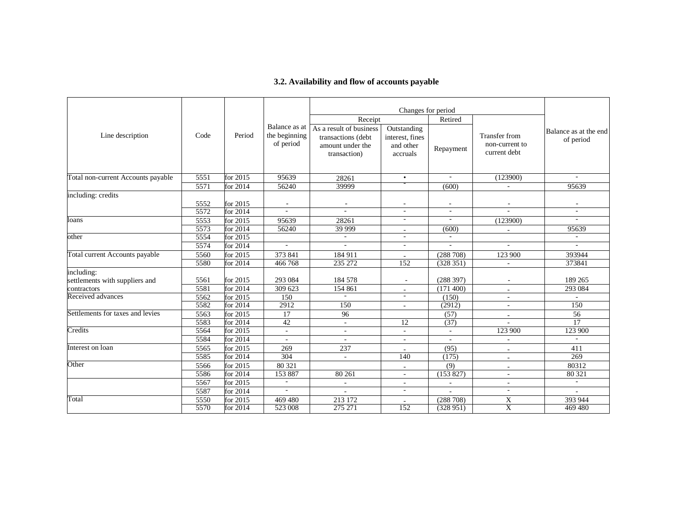# **3.2. Availability and flow of accounts payable**

|                                    |      |            |                                             |                                                                                   | Changes for period                                      |           |                                                 |                                    |
|------------------------------------|------|------------|---------------------------------------------|-----------------------------------------------------------------------------------|---------------------------------------------------------|-----------|-------------------------------------------------|------------------------------------|
|                                    |      |            |                                             | Receipt                                                                           |                                                         | Retired   |                                                 |                                    |
| Line description                   | Code | Period     | Balance as at<br>the beginning<br>of period | As a result of business<br>transactions (debt<br>amount under the<br>transaction) | Outstanding<br>interest, fines<br>and other<br>accruals | Repayment | Transfer from<br>non-current to<br>current debt | Balance as at the end<br>of period |
| Total non-current Accounts payable | 5551 | for 2015   | 95639                                       | 28261                                                                             | $\bullet$                                               | $\sim$    | (123900)                                        | $\sim$                             |
|                                    | 5571 | for 2014   | 56240                                       | 39999                                                                             |                                                         | (600)     |                                                 | 95639                              |
| including: credits                 |      |            |                                             |                                                                                   |                                                         |           |                                                 |                                    |
|                                    | 5552 | for 2015   |                                             |                                                                                   |                                                         |           |                                                 |                                    |
|                                    | 5572 | for $2014$ | ÷.                                          | $\overline{a}$                                                                    | $\overline{\phantom{a}}$                                | $\sim$    |                                                 | $\overline{\phantom{a}}$           |
| loans                              | 5553 | for 2015   | 95639                                       | 28261                                                                             | $\sim$                                                  | $\sim$    | (123900)                                        | $\sim$                             |
|                                    | 5573 | for 2014   | 56240                                       | 39 999                                                                            |                                                         | (600)     |                                                 | 95639                              |
| other                              | 5554 | for $2015$ |                                             | $\sim$                                                                            | $\sim$                                                  | $\sim$    |                                                 | $\sim$                             |
|                                    | 5574 | for 2014   | ÷.                                          | $\sim$                                                                            | $\sim$                                                  | $\sim$    | $\sim$                                          | ÷.                                 |
| Total current Accounts payable     | 5560 | for 2015   | 373 841                                     | 184 911                                                                           |                                                         | (288708)  | 123 900                                         | 393944                             |
|                                    | 5580 | for 2014   | 466768                                      | 235 272                                                                           | 152                                                     | (328351)  |                                                 | 373841                             |
| including:                         |      |            |                                             |                                                                                   |                                                         |           |                                                 |                                    |
| settlements with suppliers and     | 5561 | for 2015   | 293 084                                     | 184 578                                                                           |                                                         | (288 397) |                                                 | 189 265                            |
| contractors                        | 5581 | for 2014   | 309 623                                     | 154 861                                                                           |                                                         | (171 400) |                                                 | 293 084                            |
| Received advances                  | 5562 | for 2015   | 150                                         | $\sim$                                                                            |                                                         | (150)     |                                                 |                                    |
|                                    | 5582 | for $2014$ | 2912                                        | 150                                                                               | ÷                                                       | (2912)    |                                                 | 150                                |
| Settlements for taxes and levies   | 5563 | for 2015   | 17                                          | 96                                                                                |                                                         | (57)      |                                                 | 56                                 |
|                                    | 5583 | for 2014   | 42                                          | $\sim$                                                                            | 12                                                      | (37)      |                                                 | 17                                 |
| Credits                            | 5564 | for 2015   |                                             | $\sim$                                                                            |                                                         | $\sim$    | 123 900                                         | 123 900                            |
|                                    | 5584 | for 2014   |                                             | ÷.                                                                                | $\sim$                                                  | $\sim$    |                                                 |                                    |
| Interest on loan                   | 5565 | for 2015   | 269                                         | 237                                                                               |                                                         | (95)      |                                                 | 411                                |
|                                    | 5585 | for 2014   | 304                                         | $\sim$                                                                            | 140                                                     | (175)     |                                                 | 269                                |
| Other                              | 5566 | for 2015   | 80 321                                      |                                                                                   | $\sim$                                                  | (9)       | $\sim$                                          | 80312                              |
|                                    | 5586 | for 2014   | 153 887                                     | 80 261                                                                            | $\overline{\phantom{a}}$                                | (153 827) |                                                 | 80 321                             |
|                                    | 5567 | for 2015   |                                             | $\sim$                                                                            | $\sim$                                                  |           |                                                 | $\sim$                             |
|                                    | 5587 | for 2014   |                                             | $\sim$                                                                            | $\sim$                                                  |           |                                                 | $\sim$                             |
| Total                              | 5550 | for 2015   | 469 480                                     | 213 172                                                                           |                                                         | (288708)  | X                                               | 393 944                            |
|                                    | 5570 | for 2014   | 523 008                                     | 275 271                                                                           | 152                                                     | (328951)  | $\overline{X}$                                  | 469480                             |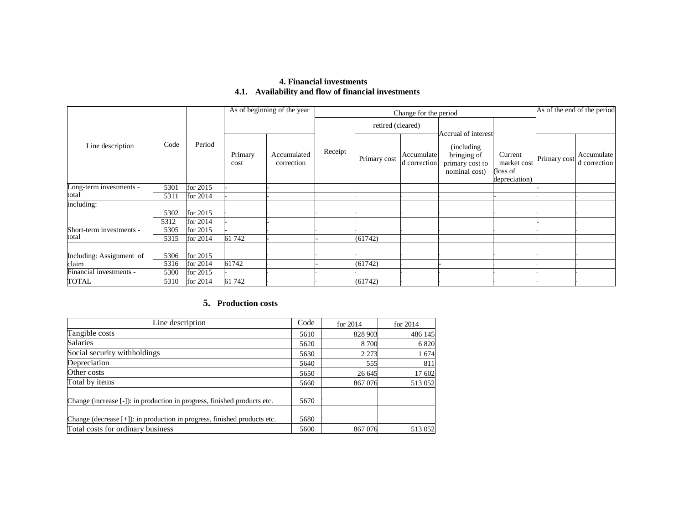# **4. Financial investments 4.1. Availability and flow of financial investments**

|                          |      |            |                 | As of beginning of the year |         | Change for the period | As of the end of the period |                                                                                       |                                                    |              |                            |
|--------------------------|------|------------|-----------------|-----------------------------|---------|-----------------------|-----------------------------|---------------------------------------------------------------------------------------|----------------------------------------------------|--------------|----------------------------|
|                          |      |            |                 |                             |         | retired (cleared)     |                             |                                                                                       |                                                    |              |                            |
| Line description         | Code | Period     | Primary<br>cost | Accumulated<br>correction   | Receipt | Primary cost          | Accumulate<br>d correction  | Accrual of interest<br>(including)<br>bringing of<br>primary cost to<br>nominal cost) | Current<br>market cost<br>loss of<br>depreciation) | Primary cost | Accumulate<br>d correction |
| Long-term investments -  | 5301 | for 2015   |                 |                             |         |                       |                             |                                                                                       |                                                    |              |                            |
| total                    | 5311 | for 2014   |                 |                             |         |                       |                             |                                                                                       |                                                    |              |                            |
| including:               |      |            |                 |                             |         |                       |                             |                                                                                       |                                                    |              |                            |
|                          | 5302 | for 2015   |                 |                             |         |                       |                             |                                                                                       |                                                    |              |                            |
|                          | 5312 | for $2014$ |                 |                             |         |                       |                             |                                                                                       |                                                    |              |                            |
| Short-term investments - | 5305 | for 2015   |                 |                             |         |                       |                             |                                                                                       |                                                    |              |                            |
| total                    | 5315 | for 2014   | 61 742          |                             |         | (61742)               |                             |                                                                                       |                                                    |              |                            |
| Including: Assignment of | 5306 | for 2015   |                 |                             |         |                       |                             |                                                                                       |                                                    |              |                            |
| claim                    | 5316 | for 2014   | 61742           |                             |         | (61742)               |                             |                                                                                       |                                                    |              |                            |
| Financial investments -  | 5300 | for 2015   |                 |                             |         |                       |                             |                                                                                       |                                                    |              |                            |
| <b>TOTAL</b>             | 5310 | for 2014   | 61 742          |                             |         | (61742)               |                             |                                                                                       |                                                    |              |                            |

# **5. Production costs**

| Line description                                                         | Code | for $2014$ | for $2014$ |
|--------------------------------------------------------------------------|------|------------|------------|
| Tangible costs                                                           | 5610 | 828 903    | 486 145    |
| <b>Salaries</b>                                                          | 5620 | 8 700      | 6 8 20     |
| Social security withholdings                                             | 5630 | 2 2 7 3    | 1674       |
| Depreciation                                                             | 5640 | 555        | 811        |
| Other costs                                                              | 5650 | 26 645     | 17 602     |
| Total by items                                                           | 5660 | 867076     | 513 052    |
| Change (increase [-]): in production in progress, finished products etc. | 5670 |            |            |
| Change (decrease [+]): in production in progress, finished products etc. | 5680 |            |            |
| Total costs for ordinary business                                        | 5600 | 867076     | 513 052    |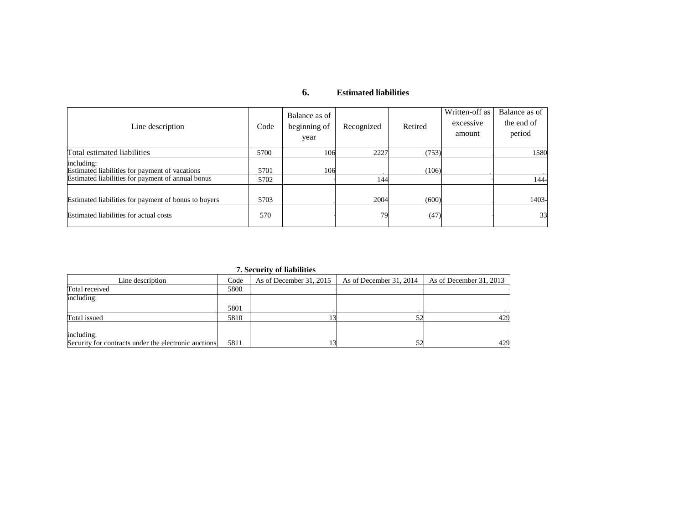#### **6.Estimated liabilities**

| Line description                                                                                                  | Code         | Balance as of<br>beginning of<br>year | Recognized | Retired | Written-off as<br>excessive<br>amount | Balance as of<br>the end of<br>period |
|-------------------------------------------------------------------------------------------------------------------|--------------|---------------------------------------|------------|---------|---------------------------------------|---------------------------------------|
| Total estimated liabilities                                                                                       | 5700         | 106                                   | 2227       | (753)   |                                       | 1580                                  |
| including:<br>Estimated liabilities for payment of vacations<br>Estimated liabilities for payment of annual bonus | 5701<br>5702 | 106                                   | 144        | (106)   |                                       | $144-$                                |
| Estimated liabilities for payment of bonus to buyers                                                              | 5703         |                                       | 2004       | (600)   |                                       | 1403-                                 |
| Estimated liabilities for actual costs                                                                            | 570          |                                       | 79         | (47)    |                                       | 33                                    |

**7. Security of liabilities** 

|                                                      |      | <b>1.</b> Decarriet of Habilities |                         |                         |
|------------------------------------------------------|------|-----------------------------------|-------------------------|-------------------------|
| Line description                                     | Code | As of December 31, 2015           | As of December 31, 2014 | As of December 31, 2013 |
| Total received                                       | 5800 |                                   |                         |                         |
| including:                                           |      |                                   |                         |                         |
|                                                      | 5801 |                                   |                         |                         |
| Total issued                                         | 5810 |                                   |                         | 429                     |
|                                                      |      |                                   |                         |                         |
| including:                                           |      |                                   |                         |                         |
| Security for contracts under the electronic auctions | 5811 |                                   | 52                      | 429                     |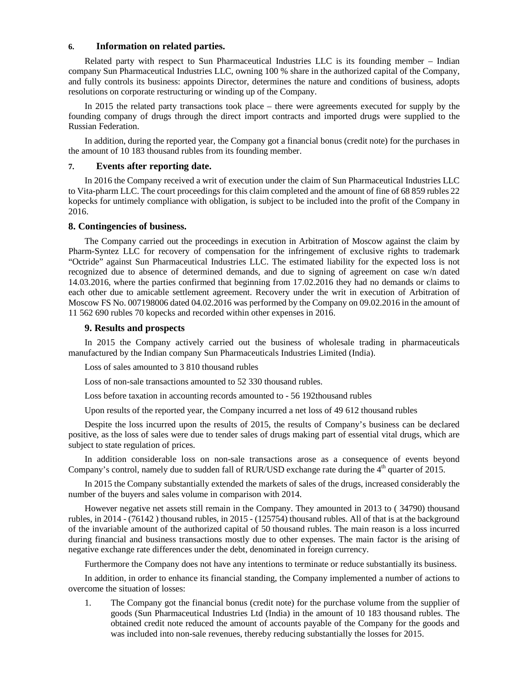#### **6. Information on related parties.**

Related party with respect to Sun Pharmaceutical Industries LLC is its founding member – Indian company Sun Pharmaceutical Industries LLC, owning 100 % share in the authorized capital of the Company, and fully controls its business: appoints Director, determines the nature and conditions of business, adopts resolutions on corporate restructuring or winding up of the Company.

In 2015 the related party transactions took place – there were agreements executed for supply by the founding company of drugs through the direct import contracts and imported drugs were supplied to the Russian Federation.

In addition, during the reported year, the Company got a financial bonus (credit note) for the purchases in the amount of 10 183 thousand rubles from its founding member.

# **7. Events after reporting date.**

In 2016 the Company received a writ of execution under the claim of Sun Pharmaceutical Industries LLC to Vita-pharm LLC. The court proceedings for this claim completed and the amount of fine of 68 859 rubles 22 kopecks for untimely compliance with obligation, is subject to be included into the profit of the Company in 2016.

#### **8. Contingencies of business.**

The Company carried out the proceedings in execution in Arbitration of Moscow against the claim by Pharm-Syntez LLC for recovery of compensation for the infringement of exclusive rights to trademark "Octride" against Sun Pharmaceutical Industries LLC. The estimated liability for the expected loss is not recognized due to absence of determined demands, and due to signing of agreement on case w/n dated 14.03.2016, where the parties confirmed that beginning from 17.02.2016 they had no demands or claims to each other due to amicable settlement agreement. Recovery under the writ in execution of Arbitration of Moscow FS No. 007198006 dated 04.02.2016 was performed by the Company on 09.02.2016 in the amount of 11 562 690 rubles 70 kopecks and recorded within other expenses in 2016.

# **9. Results and prospects**

In 2015 the Company actively carried out the business of wholesale trading in pharmaceuticals manufactured by the Indian company Sun Pharmaceuticals Industries Limited (India).

Loss of sales amounted to 3 810 thousand rubles

Loss of non-sale transactions amounted to 52 330 thousand rubles.

Loss before taxation in accounting records amounted to - 56 192thousand rubles

Upon results of the reported year, the Company incurred a net loss of 49 612 thousand rubles

Despite the loss incurred upon the results of 2015, the results of Company's business can be declared positive, as the loss of sales were due to tender sales of drugs making part of essential vital drugs, which are subject to state regulation of prices.

In addition considerable loss on non-sale transactions arose as a consequence of events beyond Company's control, namely due to sudden fall of RUR/USD exchange rate during the 4<sup>th</sup> quarter of 2015.

In 2015 the Company substantially extended the markets of sales of the drugs, increased considerably the number of the buyers and sales volume in comparison with 2014.

However negative net assets still remain in the Company. They amounted in 2013 to ( 34790) thousand rubles, in 2014 - (76142 ) thousand rubles, in 2015 - (125754) thousand rubles. All of that is at the background of the invariable amount of the authorized capital of 50 thousand rubles. The main reason is a loss incurred during financial and business transactions mostly due to other expenses. The main factor is the arising of negative exchange rate differences under the debt, denominated in foreign currency.

Furthermore the Company does not have any intentions to terminate or reduce substantially its business.

In addition, in order to enhance its financial standing, the Company implemented a number of actions to overcome the situation of losses:

1. The Company got the financial bonus (credit note) for the purchase volume from the supplier of goods (Sun Pharmaceutical Industries Ltd (India) in the amount of 10 183 thousand rubles. The obtained credit note reduced the amount of accounts payable of the Company for the goods and was included into non-sale revenues, thereby reducing substantially the losses for 2015.